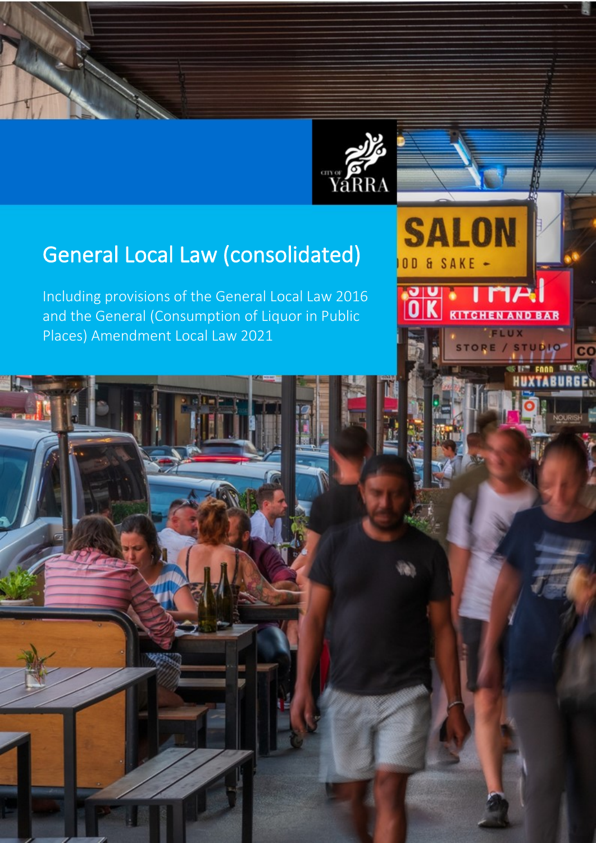



**SALON** 

**BAR** 

OD & SAKE -

IU

# General Local Law (consolidated)

Including provisions of the General Local Law 2016 and the General (Consumption of Liquor in Public Places) Amendment Local Law 2021

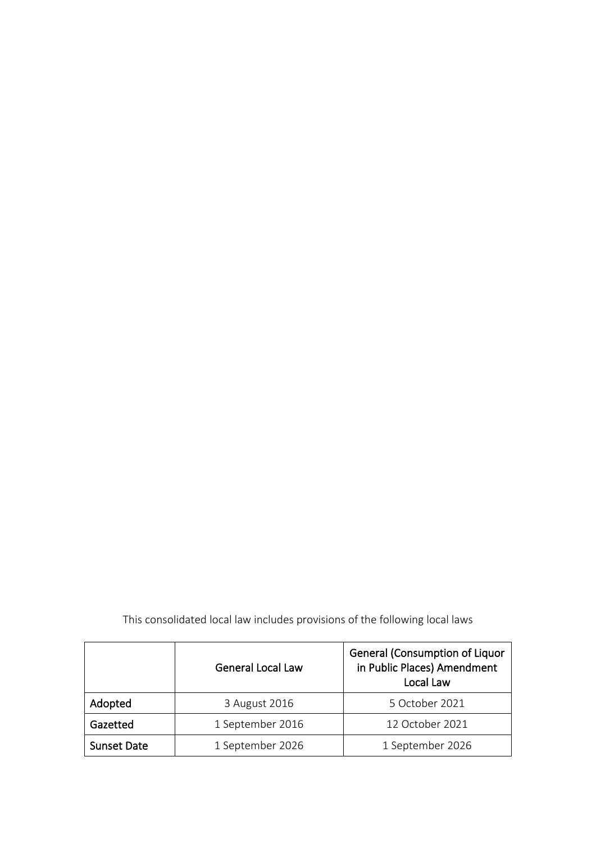|                    | <b>General Local Law</b> | <b>General (Consumption of Liquor</b><br>in Public Places) Amendment<br>Local Law |  |
|--------------------|--------------------------|-----------------------------------------------------------------------------------|--|
| Adopted            | 3 August 2016            | 5 October 2021                                                                    |  |
| Gazetted           | 1 September 2016         | 12 October 2021                                                                   |  |
| <b>Sunset Date</b> | 1 September 2026         | 1 September 2026                                                                  |  |

This consolidated local law includes provisions of the following local laws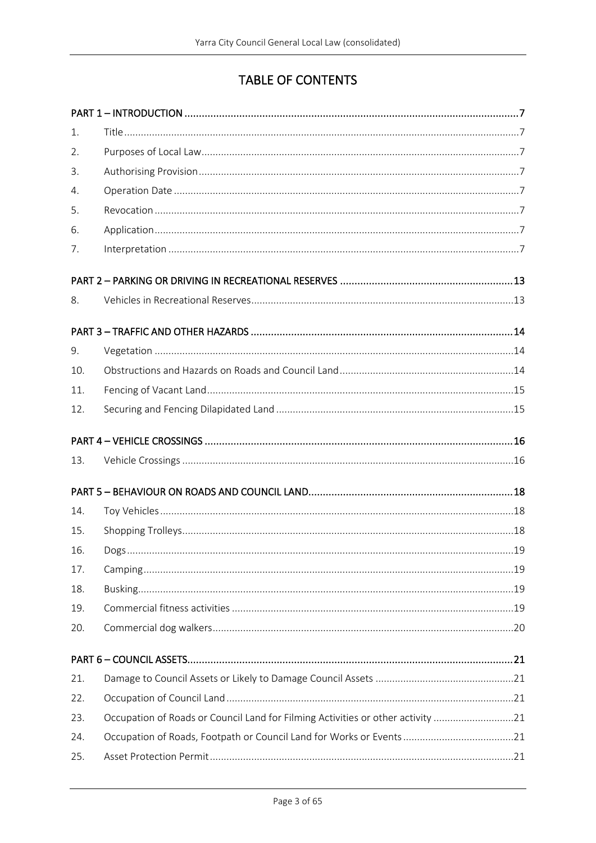# TABLE OF CONTENTS

| 1.  |                                                                                 |  |
|-----|---------------------------------------------------------------------------------|--|
| 2.  |                                                                                 |  |
| 3.  |                                                                                 |  |
| 4.  |                                                                                 |  |
| 5.  |                                                                                 |  |
| 6.  |                                                                                 |  |
| 7.  |                                                                                 |  |
|     |                                                                                 |  |
| 8.  |                                                                                 |  |
|     |                                                                                 |  |
| 9.  |                                                                                 |  |
| 10. |                                                                                 |  |
| 11. |                                                                                 |  |
| 12. |                                                                                 |  |
|     |                                                                                 |  |
| 13. |                                                                                 |  |
|     |                                                                                 |  |
| 14. |                                                                                 |  |
| 15. |                                                                                 |  |
| 16. |                                                                                 |  |
| 17. |                                                                                 |  |
| 18. |                                                                                 |  |
| 19. |                                                                                 |  |
| 20. |                                                                                 |  |
|     |                                                                                 |  |
| 21. |                                                                                 |  |
| 22. |                                                                                 |  |
| 23. | Occupation of Roads or Council Land for Filming Activities or other activity 21 |  |
| 24. |                                                                                 |  |
| 25. |                                                                                 |  |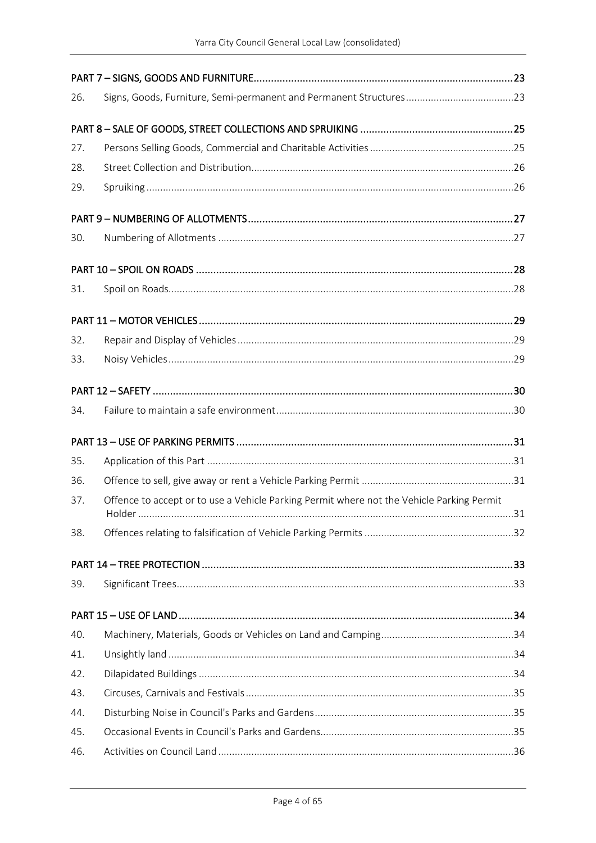| 26. |                                                                                           |  |
|-----|-------------------------------------------------------------------------------------------|--|
|     |                                                                                           |  |
| 27. |                                                                                           |  |
| 28. |                                                                                           |  |
| 29. |                                                                                           |  |
|     |                                                                                           |  |
| 30. |                                                                                           |  |
|     |                                                                                           |  |
| 31. |                                                                                           |  |
|     |                                                                                           |  |
| 32. |                                                                                           |  |
| 33. |                                                                                           |  |
|     |                                                                                           |  |
| 34. |                                                                                           |  |
|     |                                                                                           |  |
| 35. |                                                                                           |  |
| 36. |                                                                                           |  |
| 37. | Offence to accept or to use a Vehicle Parking Permit where not the Vehicle Parking Permit |  |
| 38. |                                                                                           |  |
|     |                                                                                           |  |
| 39. |                                                                                           |  |
|     |                                                                                           |  |
| 40. |                                                                                           |  |
| 41. |                                                                                           |  |
| 42. |                                                                                           |  |
| 43. |                                                                                           |  |
| 44. |                                                                                           |  |
| 45. |                                                                                           |  |
| 46. |                                                                                           |  |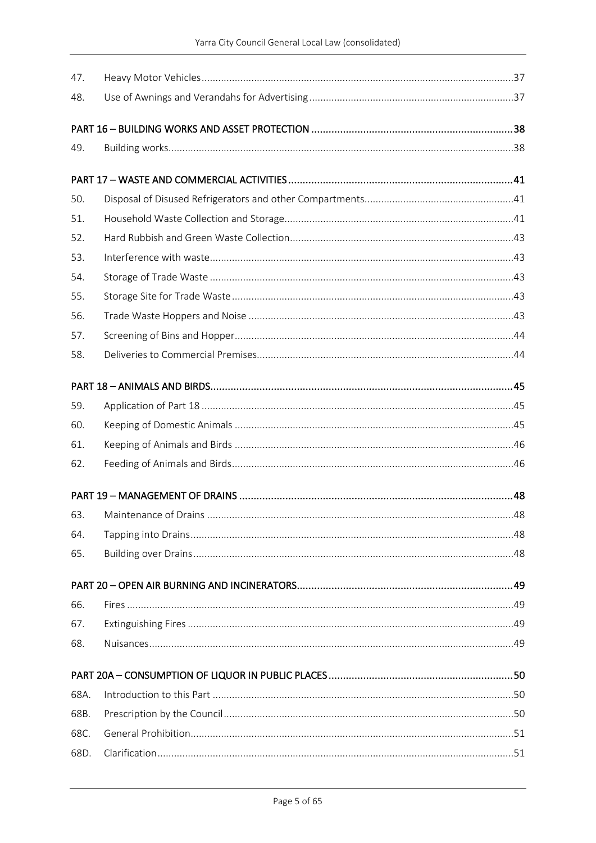| 47.  |  |
|------|--|
| 48.  |  |
|      |  |
|      |  |
| 49.  |  |
|      |  |
| 50.  |  |
| 51.  |  |
| 52.  |  |
| 53.  |  |
| 54.  |  |
| 55.  |  |
| 56.  |  |
| 57.  |  |
| 58.  |  |
|      |  |
|      |  |
| 59.  |  |
| 60.  |  |
| 61.  |  |
| 62.  |  |
|      |  |
|      |  |
| 64.  |  |
| 65.  |  |
|      |  |
|      |  |
| 66.  |  |
| 67.  |  |
| 68.  |  |
|      |  |
| 68A. |  |
| 68B. |  |
| 68C. |  |
| 68D. |  |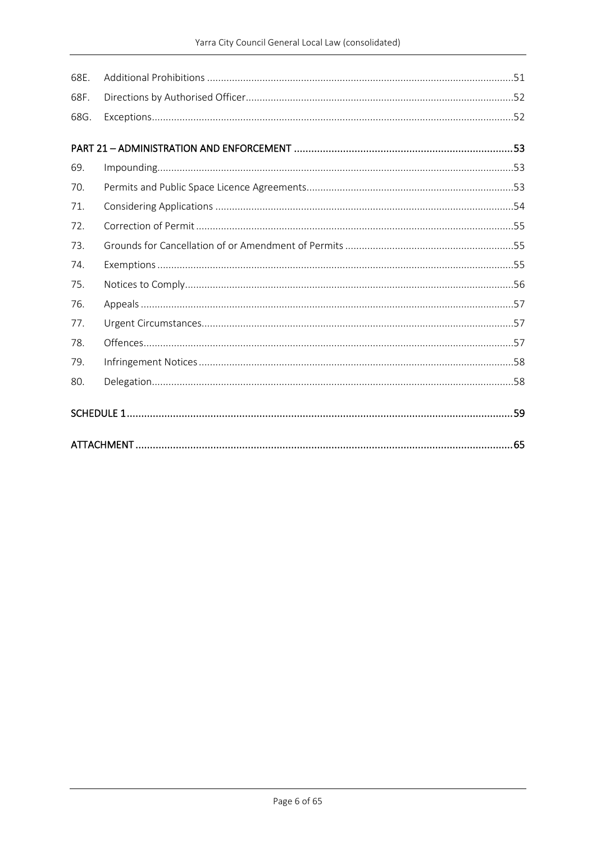| 68E. |  |
|------|--|
| 68F. |  |
| 68G. |  |
|      |  |
| 69.  |  |
| 70.  |  |
| 71.  |  |
| 72.  |  |
| 73.  |  |
| 74.  |  |
| 75.  |  |
| 76.  |  |
| 77.  |  |
| 78.  |  |
| 79.  |  |
| 80.  |  |
|      |  |
|      |  |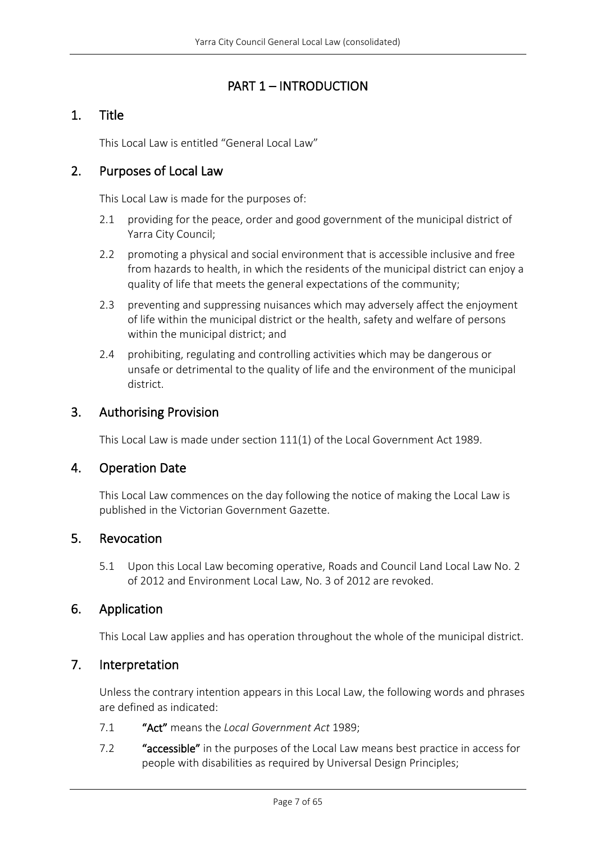# PART 1 – INTRODUCTION

# <span id="page-6-1"></span><span id="page-6-0"></span>1. Title

This Local Law is entitled "General Local Law"

### <span id="page-6-2"></span>2. Purposes of Local Law

This Local Law is made for the purposes of:

- 2.1 providing for the peace, order and good government of the municipal district of Yarra City Council;
- 2.2 promoting a physical and social environment that is accessible inclusive and free from hazards to health, in which the residents of the municipal district can enjoy a quality of life that meets the general expectations of the community;
- 2.3 preventing and suppressing nuisances which may adversely affect the enjoyment of life within the municipal district or the health, safety and welfare of persons within the municipal district; and
- 2.4 prohibiting, regulating and controlling activities which may be dangerous or unsafe or detrimental to the quality of life and the environment of the municipal district.

### <span id="page-6-3"></span>3. Authorising Provision

This Local Law is made under section 111(1) of the Local Government Act 1989.

### <span id="page-6-4"></span>4. Operation Date

This Local Law commences on the day following the notice of making the Local Law is published in the Victorian Government Gazette.

### <span id="page-6-5"></span>5. Revocation

5.1 Upon this Local Law becoming operative, Roads and Council Land Local Law No. 2 of 2012 and Environment Local Law, No. 3 of 2012 are revoked.

### <span id="page-6-6"></span>6. Application

This Local Law applies and has operation throughout the whole of the municipal district.

### <span id="page-6-7"></span>7. Interpretation

Unless the contrary intention appears in this Local Law, the following words and phrases are defined as indicated:

- 7.1 "Act" means the *Local Government Act* 1989;
- 7.2 "accessible" in the purposes of the Local Law means best practice in access for people with disabilities as required by Universal Design Principles;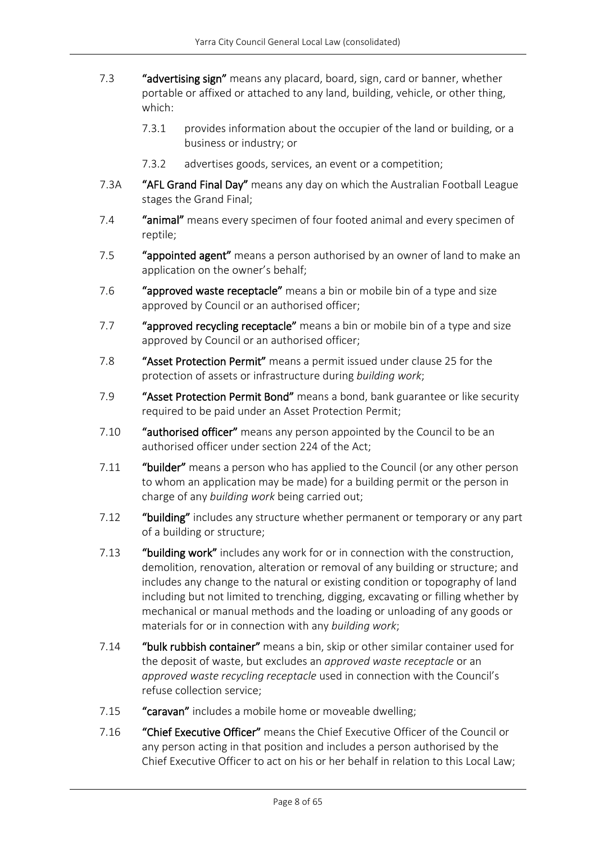- 7.3 "advertising sign" means any placard, board, sign, card or banner, whether portable or affixed or attached to any land, building, vehicle, or other thing, which:
	- 7.3.1 provides information about the occupier of the land or building, or a business or industry; or
	- 7.3.2 advertises goods, services, an event or a competition;
- 7.3A "AFL Grand Final Day" means any day on which the Australian Football League stages the Grand Final;
- 7.4 "animal" means every specimen of four footed animal and every specimen of reptile;
- 7.5 "appointed agent" means a person authorised by an owner of land to make an application on the owner's behalf;
- 7.6 "approved waste receptacle" means a bin or mobile bin of a type and size approved by Council or an authorised officer;
- 7.7 "approved recycling receptacle" means a bin or mobile bin of a type and size approved by Council or an authorised officer;
- 7.8 "Asset Protection Permit" means a permit issued under clause 25 for the protection of assets or infrastructure during *building work*;
- 7.9 "Asset Protection Permit Bond" means a bond, bank guarantee or like security required to be paid under an Asset Protection Permit;
- 7.10 "authorised officer" means any person appointed by the Council to be an authorised officer under section 224 of the Act;
- 7.11 "builder" means a person who has applied to the Council (or any other person to whom an application may be made) for a building permit or the person in charge of any *building work* being carried out;
- 7.12 "building" includes any structure whether permanent or temporary or any part of a building or structure;
- 7.13 "building work" includes any work for or in connection with the construction, demolition, renovation, alteration or removal of any building or structure; and includes any change to the natural or existing condition or topography of land including but not limited to trenching, digging, excavating or filling whether by mechanical or manual methods and the loading or unloading of any goods or materials for or in connection with any *building work*;
- 7.14 "bulk rubbish container" means a bin, skip or other similar container used for the deposit of waste, but excludes an *approved waste receptacle* or an *approved waste recycling receptacle* used in connection with the Council's refuse collection service;
- 7.15 "caravan" includes a mobile home or moveable dwelling;
- 7.16 "Chief Executive Officer" means the Chief Executive Officer of the Council or any person acting in that position and includes a person authorised by the Chief Executive Officer to act on his or her behalf in relation to this Local Law;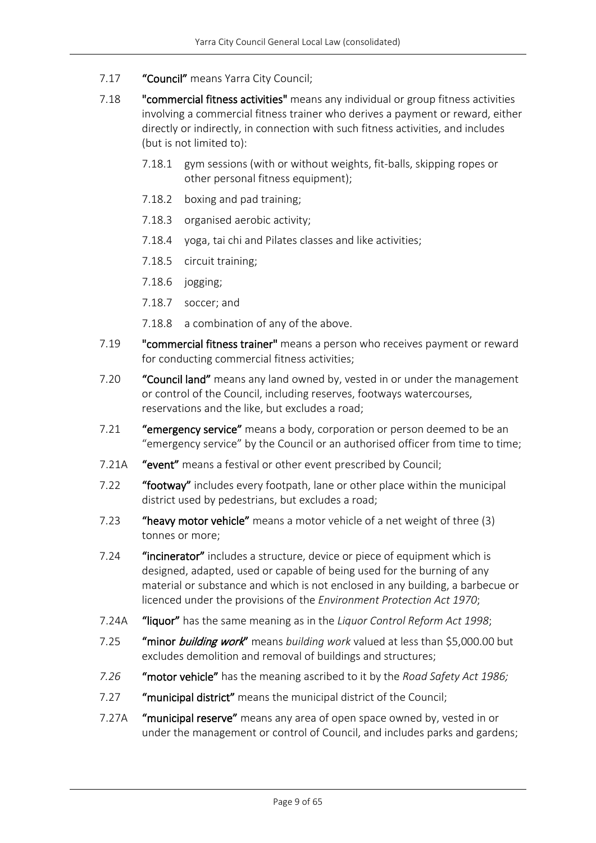- 7.17 "Council" means Yarra City Council;
- 7.18 **"commercial fitness activities"** means any individual or group fitness activities involving a commercial fitness trainer who derives a payment or reward, either directly or indirectly, in connection with such fitness activities, and includes (but is not limited to):
	- 7.18.1 gym sessions (with or without weights, fit-balls, skipping ropes or other personal fitness equipment);
	- 7.18.2 boxing and pad training;
	- 7.18.3 organised aerobic activity;
	- 7.18.4 yoga, tai chi and Pilates classes and like activities;
	- 7.18.5 circuit training;
	- 7.18.6 jogging;
	- 7.18.7 soccer; and
	- 7.18.8 a combination of any of the above.
- 7.19 "commercial fitness trainer" means a person who receives payment or reward for conducting commercial fitness activities;
- 7.20 "Council land" means any land owned by, vested in or under the management or control of the Council, including reserves, footways watercourses, reservations and the like, but excludes a road;
- 7.21 "emergency service" means a body, corporation or person deemed to be an "emergency service" by the Council or an authorised officer from time to time;
- 7.21A "event" means a festival or other event prescribed by Council;
- 7.22 "footway" includes every footpath, lane or other place within the municipal district used by pedestrians, but excludes a road;
- 7.23 "heavy motor vehicle" means a motor vehicle of a net weight of three (3) tonnes or more;
- 7.24 "incinerator" includes a structure, device or piece of equipment which is designed, adapted, used or capable of being used for the burning of any material or substance and which is not enclosed in any building, a barbecue or licenced under the provisions of the *Environment Protection Act 1970*;
- 7.24A "liquor" has the same meaning as in the *Liquor Control Reform Act 1998*;
- 7.25 "minor building work" means *building work* valued at less than \$5,000.00 but excludes demolition and removal of buildings and structures;
- *7.26* "motor vehicle" has the meaning ascribed to it by the *Road Safety Act 1986;*
- 7.27 "municipal district" means the municipal district of the Council;
- 7.27A "municipal reserve" means any area of open space owned by, vested in or under the management or control of Council, and includes parks and gardens;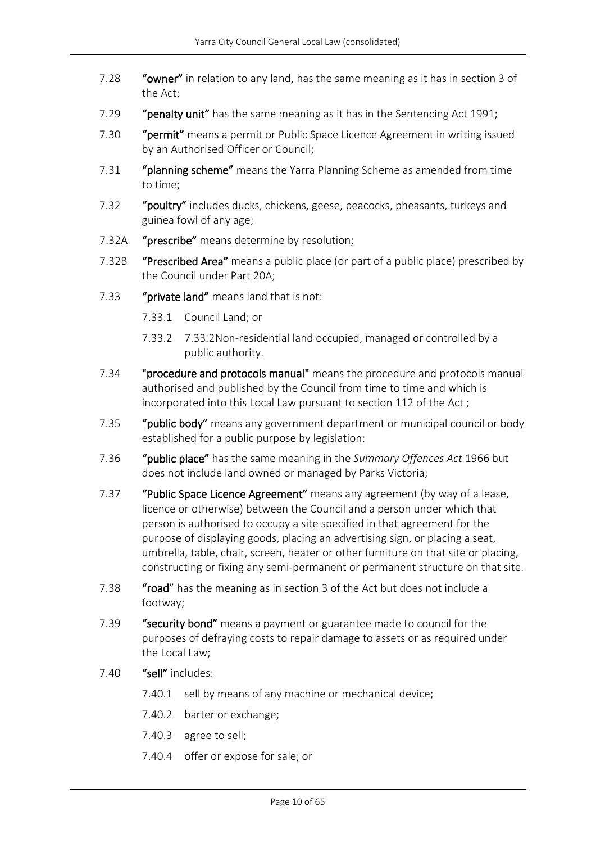- 7.28 "owner" in relation to any land, has the same meaning as it has in section 3 of the Act;
- 7.29 "penalty unit" has the same meaning as it has in the Sentencing Act 1991;
- 7.30 "permit" means a permit or Public Space Licence Agreement in writing issued by an Authorised Officer or Council;
- 7.31 "planning scheme" means the Yarra Planning Scheme as amended from time to time;
- 7.32 "poultry" includes ducks, chickens, geese, peacocks, pheasants, turkeys and guinea fowl of any age;
- 7.32A "prescribe" means determine by resolution;
- 7.32B "Prescribed Area" means a public place (or part of a public place) prescribed by the Council under Part 20A;
- 7.33 "private land" means land that is not:
	- 7.33.1 Council Land; or
	- 7.33.2 7.33.2Non-residential land occupied, managed or controlled by a public authority.
- 7.34 "procedure and protocols manual" means the procedure and protocols manual authorised and published by the Council from time to time and which is incorporated into this Local Law pursuant to section 112 of the Act ;
- 7.35 "public body" means any government department or municipal council or body established for a public purpose by legislation;
- 7.36 "public place" has the same meaning in the *Summary Offences Act* 1966 but does not include land owned or managed by Parks Victoria;
- 7.37 "Public Space Licence Agreement" means any agreement (by way of a lease, licence or otherwise) between the Council and a person under which that person is authorised to occupy a site specified in that agreement for the purpose of displaying goods, placing an advertising sign, or placing a seat, umbrella, table, chair, screen, heater or other furniture on that site or placing, constructing or fixing any semi-permanent or permanent structure on that site.
- 7.38 "road" has the meaning as in section 3 of the Act but does not include a footway;
- 7.39 "security bond" means a payment or guarantee made to council for the purposes of defraying costs to repair damage to assets or as required under the Local Law;
- 7.40 "sell" includes:
	- 7.40.1 sell by means of any machine or mechanical device;
	- 7.40.2 barter or exchange;
	- 7.40.3 agree to sell;
	- 7.40.4 offer or expose for sale; or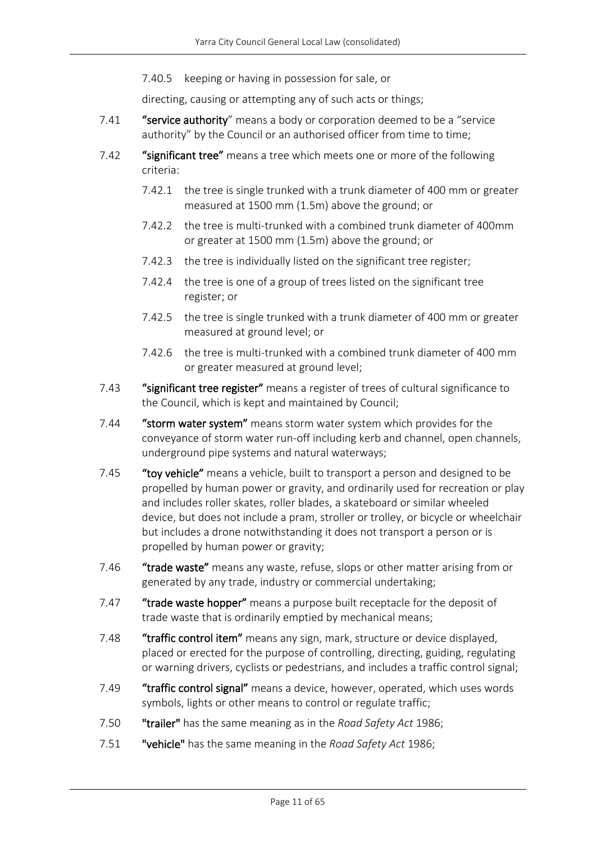7.40.5 keeping or having in possession for sale, or

directing, causing or attempting any of such acts or things;

- 7.41 "service authority" means a body or corporation deemed to be a "service" authority" by the Council or an authorised officer from time to time;
- 7.42 "significant tree" means a tree which meets one or more of the following criteria:
	- 7.42.1 the tree is single trunked with a trunk diameter of 400 mm or greater measured at 1500 mm (1.5m) above the ground; or
	- 7.42.2 the tree is multi-trunked with a combined trunk diameter of 400mm or greater at 1500 mm (1.5m) above the ground; or
	- 7.42.3 the tree is individually listed on the significant tree register;
	- 7.42.4 the tree is one of a group of trees listed on the significant tree register; or
	- 7.42.5 the tree is single trunked with a trunk diameter of 400 mm or greater measured at ground level; or
	- 7.42.6 the tree is multi-trunked with a combined trunk diameter of 400 mm or greater measured at ground level;
- 7.43 "significant tree register" means a register of trees of cultural significance to the Council, which is kept and maintained by Council;
- 7.44 "storm water system" means storm water system which provides for the conveyance of storm water run-off including kerb and channel, open channels, underground pipe systems and natural waterways;
- 7.45 "toy vehicle" means a vehicle, built to transport a person and designed to be propelled by human power or gravity, and ordinarily used for recreation or play and includes roller skates, roller blades, a skateboard or similar wheeled device, but does not include a pram, stroller or trolley, or bicycle or wheelchair but includes a drone notwithstanding it does not transport a person or is propelled by human power or gravity;
- 7.46 "trade waste" means any waste, refuse, slops or other matter arising from or generated by any trade, industry or commercial undertaking;
- 7.47 "trade waste hopper" means a purpose built receptacle for the deposit of trade waste that is ordinarily emptied by mechanical means;
- 7.48 "traffic control item" means any sign, mark, structure or device displayed, placed or erected for the purpose of controlling, directing, guiding, regulating or warning drivers, cyclists or pedestrians, and includes a traffic control signal;
- 7.49 "traffic control signal" means a device, however, operated, which uses words symbols, lights or other means to control or regulate traffic;
- 7.50 "trailer" has the same meaning as in the *Road Safety Act* 1986;
- 7.51 "vehicle" has the same meaning in the *Road Safety Act* 1986;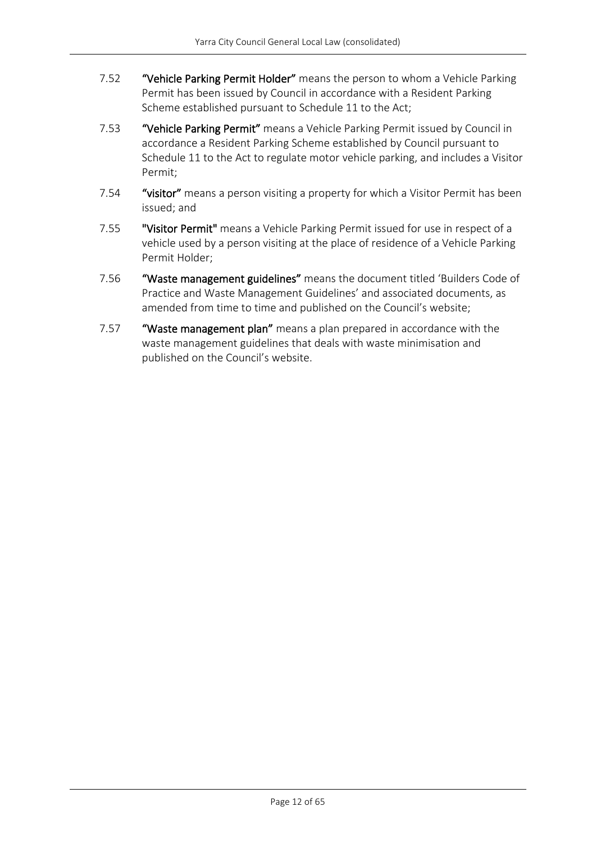- 7.52 "Vehicle Parking Permit Holder" means the person to whom a Vehicle Parking Permit has been issued by Council in accordance with a Resident Parking Scheme established pursuant to Schedule 11 to the Act;
- 7.53 "Vehicle Parking Permit" means a Vehicle Parking Permit issued by Council in accordance a Resident Parking Scheme established by Council pursuant to Schedule 11 to the Act to regulate motor vehicle parking, and includes a Visitor Permit;
- 7.54 "visitor" means a person visiting a property for which a Visitor Permit has been issued; and
- 7.55 "Visitor Permit" means a Vehicle Parking Permit issued for use in respect of a vehicle used by a person visiting at the place of residence of a Vehicle Parking Permit Holder;
- 7.56 "Waste management guidelines" means the document titled 'Builders Code of Practice and Waste Management Guidelines' and associated documents, as amended from time to time and published on the Council's website;
- 7.57 "Waste management plan" means a plan prepared in accordance with the waste management guidelines that deals with waste minimisation and published on the Council's website.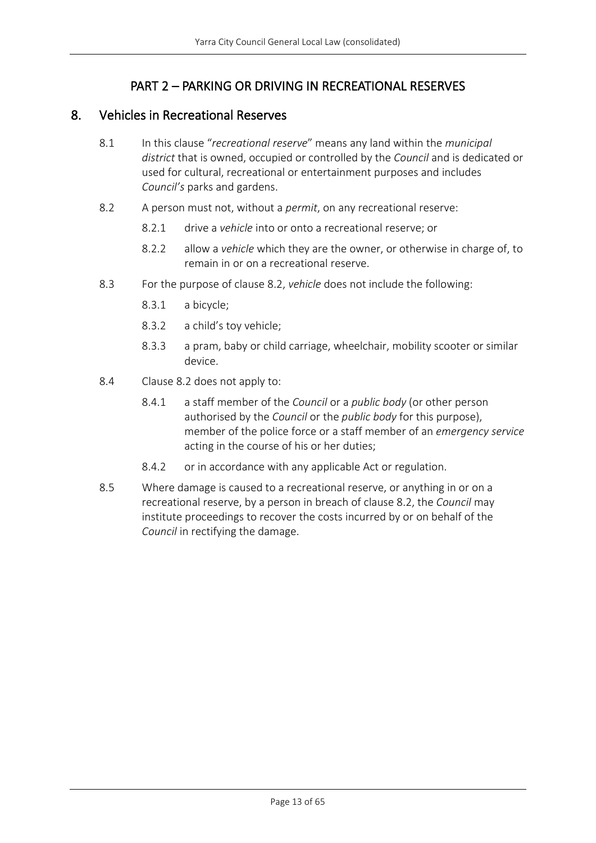# PART 2 – PARKING OR DRIVING IN RECREATIONAL RESERVES

### <span id="page-12-1"></span><span id="page-12-0"></span>8. Vehicles in Recreational Reserves

- 8.1 In this clause "*recreational reserve*" means any land within the *municipal district* that is owned, occupied or controlled by the *Council* and is dedicated or used for cultural, recreational or entertainment purposes and includes *Council's* parks and gardens.
- 8.2 A person must not, without a *permit*, on any recreational reserve:
	- 8.2.1 drive a *vehicle* into or onto a recreational reserve; or
	- 8.2.2 allow a *vehicle* which they are the owner, or otherwise in charge of, to remain in or on a recreational reserve.
- 8.3 For the purpose of clause 8.2, *vehicle* does not include the following:
	- 8.3.1 a bicycle;
	- 8.3.2 a child's toy vehicle;
	- 8.3.3 a pram, baby or child carriage, wheelchair, mobility scooter or similar device.
- 8.4 Clause 8.2 does not apply to:
	- 8.4.1 a staff member of the *Council* or a *public body* (or other person authorised by the *Council* or the *public body* for this purpose), member of the police force or a staff member of an *emergency service* acting in the course of his or her duties;
	- 8.4.2 or in accordance with any applicable Act or regulation.
- 8.5 Where damage is caused to a recreational reserve, or anything in or on a recreational reserve, by a person in breach of clause 8.2, the *Council* may institute proceedings to recover the costs incurred by or on behalf of the *Council* in rectifying the damage.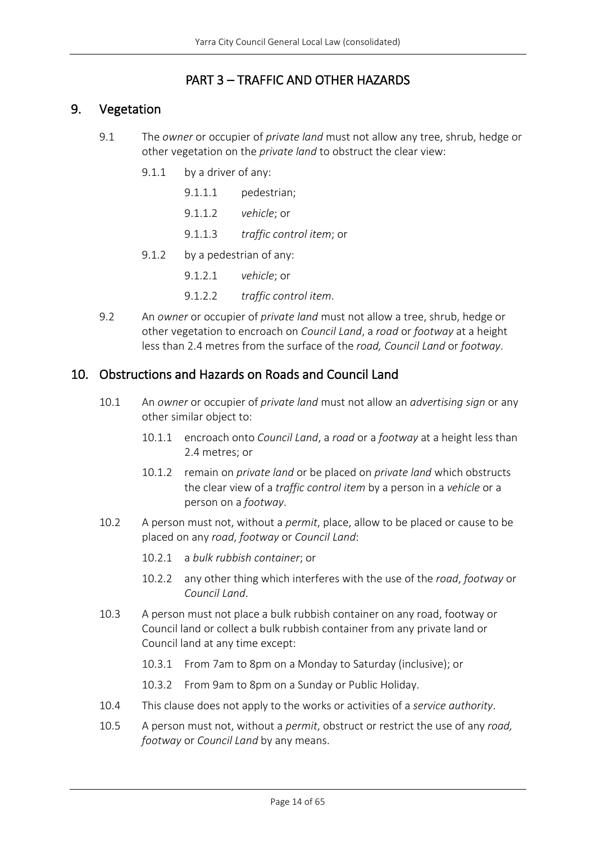# PART 3 – TRAFFIC AND OTHER HAZARDS

### <span id="page-13-1"></span><span id="page-13-0"></span>9. Vegetation

- 9.1 The *owner* or occupier of *private land* must not allow any tree, shrub, hedge or other vegetation on the *private land* to obstruct the clear view:
	- 9.1.1 by a driver of any:
		- 9.1.1.1 pedestrian;
		- 9.1.1.2 *vehicle*; or
		- 9.1.1.3 *traffic control item*; or
	- 9.1.2 by a pedestrian of any:
		- 9.1.2.1 *vehicle*; or
		- 9.1.2.2 *traffic control item*.
- 9.2 An *owner* or occupier of *private land* must not allow a tree, shrub, hedge or other vegetation to encroach on *Council Land*, a *road* or *footway* at a height less than 2.4 metres from the surface of the *road, Council Land* or *footway*.

### <span id="page-13-2"></span>10. Obstructions and Hazards on Roads and Council Land

- 10.1 An *owner* or occupier of *private land* must not allow an *advertising sign* or any other similar object to:
	- 10.1.1 encroach onto *Council Land*, a *road* or a *footway* at a height less than 2.4 metres; or
	- 10.1.2 remain on *private land* or be placed on *private land* which obstructs the clear view of a *traffic control item* by a person in a *vehicle* or a person on a *footway*.
- 10.2 A person must not, without a *permit*, place, allow to be placed or cause to be placed on any *road*, *footway* or *Council Land*:
	- 10.2.1 a *bulk rubbish container*; or
	- 10.2.2 any other thing which interferes with the use of the *road*, *footway* or *Council Land*.
- 10.3 A person must not place a bulk rubbish container on any road, footway or Council land or collect a bulk rubbish container from any private land or Council land at any time except:
	- 10.3.1 From 7am to 8pm on a Monday to Saturday (inclusive); or
	- 10.3.2 From 9am to 8pm on a Sunday or Public Holiday.
- 10.4 This clause does not apply to the works or activities of a *service authority*.
- 10.5 A person must not, without a *permit*, obstruct or restrict the use of any *road, footway* or *Council Land* by any means.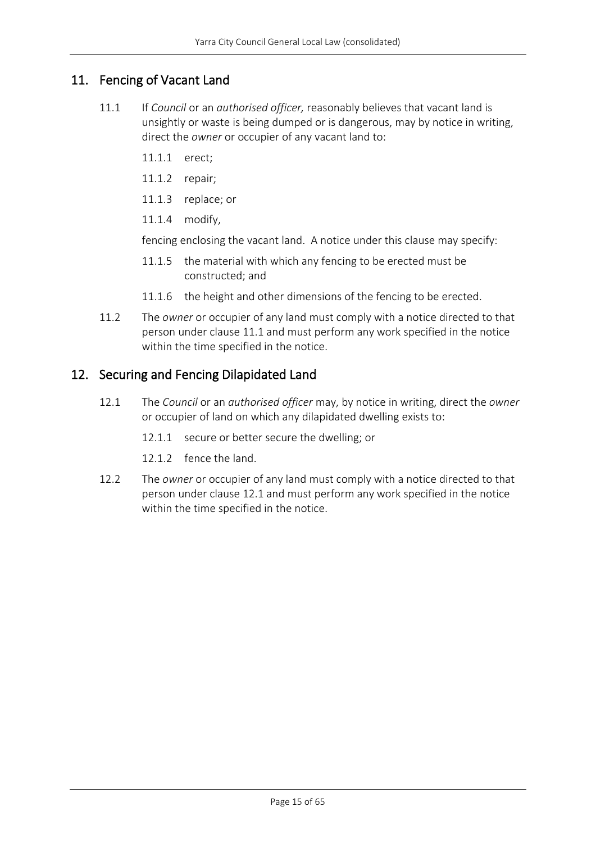# <span id="page-14-0"></span>11. Fencing of Vacant Land

- 11.1 If *Council* or an *authorised officer,* reasonably believes that vacant land is unsightly or waste is being dumped or is dangerous, may by notice in writing, direct the *owner* or occupier of any vacant land to:
	- 11.1.1 erect;
	- 11.1.2 repair;
	- 11.1.3 replace; or
	- 11.1.4 modify,

fencing enclosing the vacant land. A notice under this clause may specify:

- 11.1.5 the material with which any fencing to be erected must be constructed; and
- 11.1.6 the height and other dimensions of the fencing to be erected.
- 11.2 The *owner* or occupier of any land must comply with a notice directed to that person under clause 11.1 and must perform any work specified in the notice within the time specified in the notice.

### <span id="page-14-1"></span>12. Securing and Fencing Dilapidated Land

- 12.1 The *Council* or an *authorised officer* may, by notice in writing, direct the *owner* or occupier of land on which any dilapidated dwelling exists to:
	- 12.1.1 secure or better secure the dwelling; or
	- 12.1.2 fence the land.
- 12.2 The *owner* or occupier of any land must comply with a notice directed to that person under clause 12.1 and must perform any work specified in the notice within the time specified in the notice.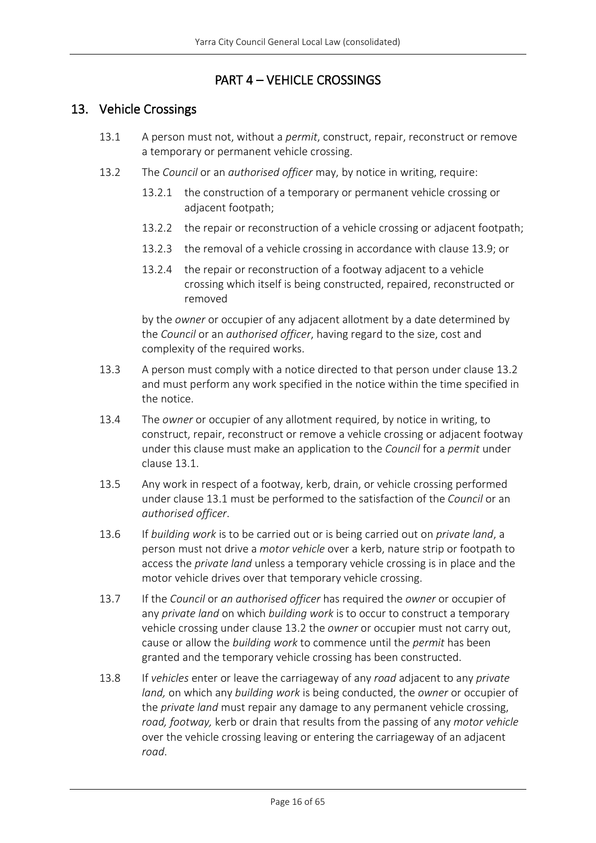### PART 4 – VEHICLE CROSSINGS

### <span id="page-15-1"></span><span id="page-15-0"></span>13. Vehicle Crossings

- 13.1 A person must not, without a *permit*, construct, repair, reconstruct or remove a temporary or permanent vehicle crossing.
- 13.2 The *Council* or an *authorised officer* may, by notice in writing, require:
	- 13.2.1 the construction of a temporary or permanent vehicle crossing or adjacent footpath;
	- 13.2.2 the repair or reconstruction of a vehicle crossing or adjacent footpath;
	- 13.2.3 the removal of a vehicle crossing in accordance with clause 13.9; or
	- 13.2.4 the repair or reconstruction of a footway adjacent to a vehicle crossing which itself is being constructed, repaired, reconstructed or removed

by the *owner* or occupier of any adjacent allotment by a date determined by the *Council* or an *authorised officer*, having regard to the size, cost and complexity of the required works.

- 13.3 A person must comply with a notice directed to that person under clause 13.2 and must perform any work specified in the notice within the time specified in the notice.
- 13.4 The *owner* or occupier of any allotment required, by notice in writing, to construct, repair, reconstruct or remove a vehicle crossing or adjacent footway under this clause must make an application to the *Council* for a *permit* under clause 13.1.
- 13.5 Any work in respect of a footway, kerb, drain, or vehicle crossing performed under clause 13.1 must be performed to the satisfaction of the *Council* or an *authorised officer*.
- 13.6 If *building work* is to be carried out or is being carried out on *private land*, a person must not drive a *motor vehicle* over a kerb, nature strip or footpath to access the *private land* unless a temporary vehicle crossing is in place and the motor vehicle drives over that temporary vehicle crossing.
- 13.7 If the *Council* or *an authorised officer* has required the *owner* or occupier of any *private land* on which *building work* is to occur to construct a temporary vehicle crossing under clause 13.2 the *owner* or occupier must not carry out, cause or allow the *building work* to commence until the *permit* has been granted and the temporary vehicle crossing has been constructed.
- 13.8 If *vehicles* enter or leave the carriageway of any *road* adjacent to any *private land,* on which any *building work* is being conducted, the *owner* or occupier of the *private land* must repair any damage to any permanent vehicle crossing, *road, footway,* kerb or drain that results from the passing of any *motor vehicle* over the vehicle crossing leaving or entering the carriageway of an adjacent *road*.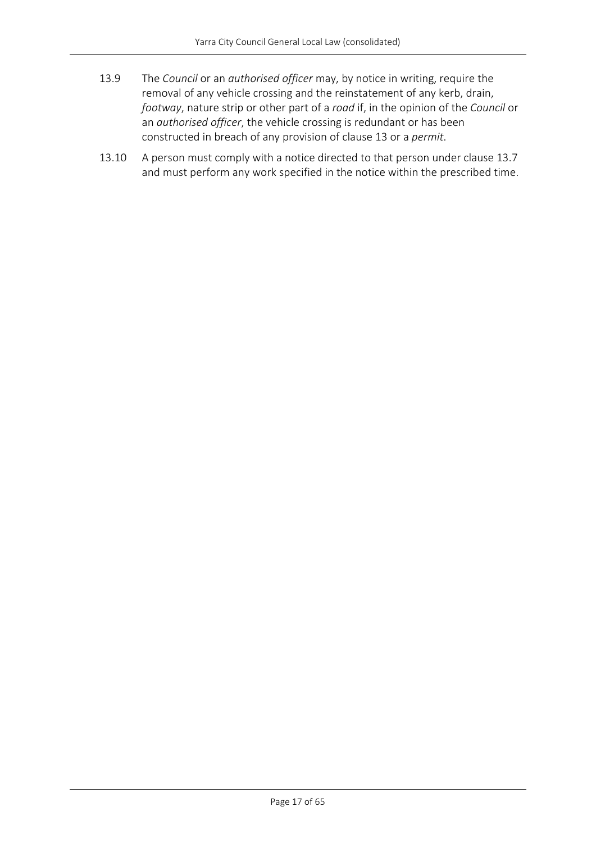- 13.9 The *Council* or an *authorised officer* may, by notice in writing, require the removal of any vehicle crossing and the reinstatement of any kerb, drain, *footway*, nature strip or other part of a *road* if, in the opinion of the *Council* or an *authorised officer*, the vehicle crossing is redundant or has been constructed in breach of any provision of clause 13 or a *permit*.
- 13.10 A person must comply with a notice directed to that person under clause 13.7 and must perform any work specified in the notice within the prescribed time.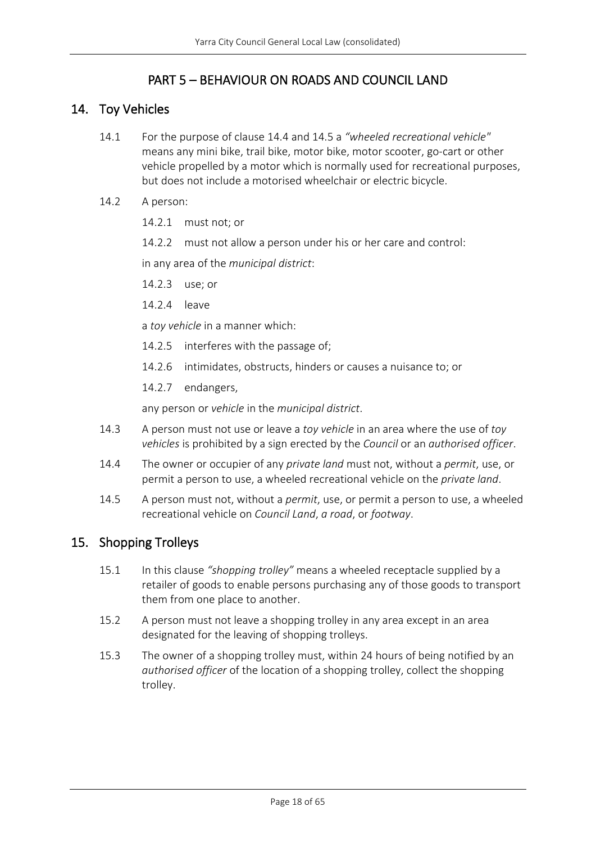# PART 5 – BEHAVIOUR ON ROADS AND COUNCIL LAND

### <span id="page-17-1"></span><span id="page-17-0"></span>14. Toy Vehicles

- 14.1 For the purpose of clause 14.4 and 14.5 a *"wheeled recreational vehicle"* means any mini bike, trail bike, motor bike, motor scooter, go-cart or other vehicle propelled by a motor which is normally used for recreational purposes, but does not include a motorised wheelchair or electric bicycle.
- 14.2 A person:
	- 14.2.1 must not; or
	- 14.2.2 must not allow a person under his or her care and control:

in any area of the *municipal district*:

- 14.2.3 use; or
- 14.2.4 leave

a *toy vehicle* in a manner which:

- 14.2.5 interferes with the passage of;
- 14.2.6 intimidates, obstructs, hinders or causes a nuisance to; or
- 14.2.7 endangers,

any person or *vehicle* in the *municipal district*.

- 14.3 A person must not use or leave a *toy vehicle* in an area where the use of *toy vehicles* is prohibited by a sign erected by the *Council* or an *authorised officer*.
- 14.4 The owner or occupier of any *private land* must not, without a *permit*, use, or permit a person to use, a wheeled recreational vehicle on the *private land*.
- 14.5 A person must not, without a *permit*, use, or permit a person to use, a wheeled recreational vehicle on *Council Land*, *a road*, or *footway*.

### <span id="page-17-2"></span>15. Shopping Trolleys

- 15.1 In this clause *"shopping trolley"* means a wheeled receptacle supplied by a retailer of goods to enable persons purchasing any of those goods to transport them from one place to another.
- 15.2 A person must not leave a shopping trolley in any area except in an area designated for the leaving of shopping trolleys.
- 15.3 The owner of a shopping trolley must, within 24 hours of being notified by an *authorised officer* of the location of a shopping trolley, collect the shopping trolley.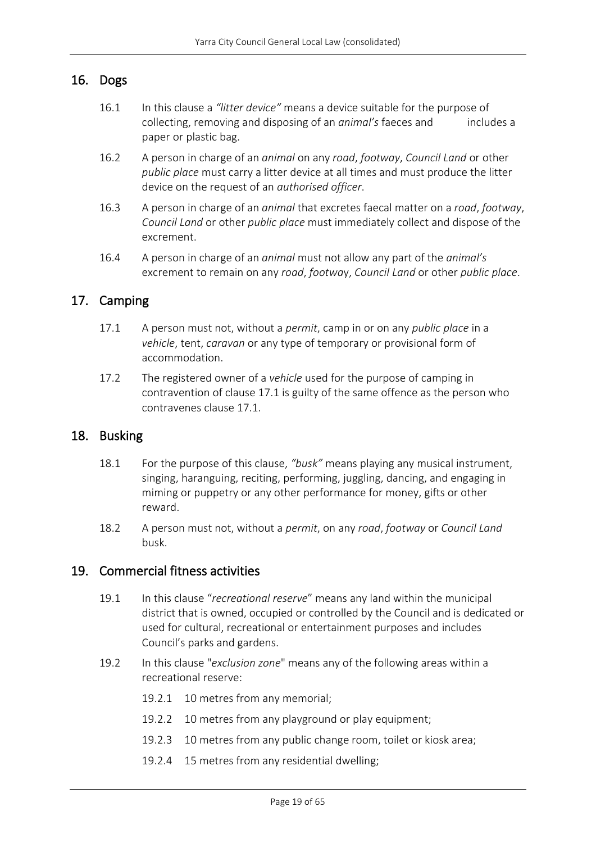### <span id="page-18-0"></span>16. Dogs

- 16.1 In this clause a *"litter device"* means a device suitable for the purpose of collecting, removing and disposing of an *animal's* faeces and includes a paper or plastic bag.
- 16.2 A person in charge of an *animal* on any *road*, *footway*, *Council Land* or other *public place* must carry a litter device at all times and must produce the litter device on the request of an *authorised officer*.
- 16.3 A person in charge of an *animal* that excretes faecal matter on a *road*, *footway*, *Council Land* or other *public place* must immediately collect and dispose of the excrement.
- 16.4 A person in charge of an *animal* must not allow any part of the *animal's* excrement to remain on any *road*, *footwa*y, *Council Land* or other *public place*.

### <span id="page-18-1"></span>17. Camping

- 17.1 A person must not, without a *permit*, camp in or on any *public place* in a *vehicle*, tent, *caravan* or any type of temporary or provisional form of accommodation.
- 17.2 The registered owner of a *vehicle* used for the purpose of camping in contravention of clause 17.1 is guilty of the same offence as the person who contravenes clause 17.1.

### <span id="page-18-2"></span>18. Busking

- 18.1 For the purpose of this clause, *"busk"* means playing any musical instrument, singing, haranguing, reciting, performing, juggling, dancing, and engaging in miming or puppetry or any other performance for money, gifts or other reward.
- 18.2 A person must not, without a *permit*, on any *road*, *footway* or *Council Land* busk.

### <span id="page-18-3"></span>19. Commercial fitness activities

- 19.1 In this clause "*recreational reserve*" means any land within the municipal district that is owned, occupied or controlled by the Council and is dedicated or used for cultural, recreational or entertainment purposes and includes Council's parks and gardens.
- 19.2 In this clause "*exclusion zone*" means any of the following areas within a recreational reserve:
	- 19.2.1 10 metres from any memorial;
	- 19.2.2 10 metres from any playground or play equipment;
	- 19.2.3 10 metres from any public change room, toilet or kiosk area;
	- 19.2.4 15 metres from any residential dwelling;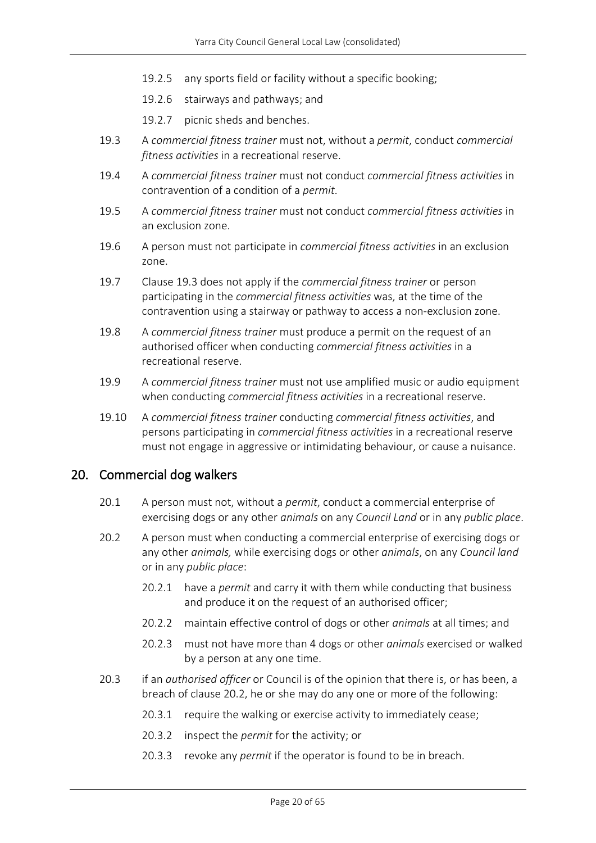- 19.2.5 any sports field or facility without a specific booking;
- 19.2.6 stairways and pathways; and
- 19.2.7 picnic sheds and benches.
- 19.3 A *commercial fitness trainer* must not, without a *permit*, conduct *commercial fitness activities* in a recreational reserve.
- 19.4 A *commercial fitness trainer* must not conduct *commercial fitness activities* in contravention of a condition of a *permit*.
- 19.5 A *commercial fitness trainer* must not conduct *commercial fitness activities* in an exclusion zone.
- 19.6 A person must not participate in *commercial fitness activities* in an exclusion zone.
- 19.7 Clause 19.3 does not apply if the *commercial fitness trainer* or person participating in the *commercial fitness activities* was, at the time of the contravention using a stairway or pathway to access a non-exclusion zone.
- 19.8 A *commercial fitness trainer* must produce a permit on the request of an authorised officer when conducting *commercial fitness activities* in a recreational reserve.
- 19.9 A *commercial fitness trainer* must not use amplified music or audio equipment when conducting *commercial fitness activities* in a recreational reserve.
- 19.10 A *commercial fitness trainer* conducting *commercial fitness activities*, and persons participating in *commercial fitness activities* in a recreational reserve must not engage in aggressive or intimidating behaviour, or cause a nuisance.

### <span id="page-19-0"></span>20. Commercial dog walkers

- 20.1 A person must not, without a *permit*, conduct a commercial enterprise of exercising dogs or any other *animals* on any *Council Land* or in any *public place*.
- 20.2 A person must when conducting a commercial enterprise of exercising dogs or any other *animals,* while exercising dogs or other *animals*, on any *Council land* or in any *public place*:
	- 20.2.1 have a *permit* and carry it with them while conducting that business and produce it on the request of an authorised officer;
	- 20.2.2 maintain effective control of dogs or other *animals* at all times; and
	- 20.2.3 must not have more than 4 dogs or other *animals* exercised or walked by a person at any one time.
- 20.3 if an *authorised officer* or Council is of the opinion that there is, or has been, a breach of clause 20.2, he or she may do any one or more of the following:
	- 20.3.1 require the walking or exercise activity to immediately cease;
	- 20.3.2 inspect the *permit* for the activity; or
	- 20.3.3 revoke any *permit* if the operator is found to be in breach.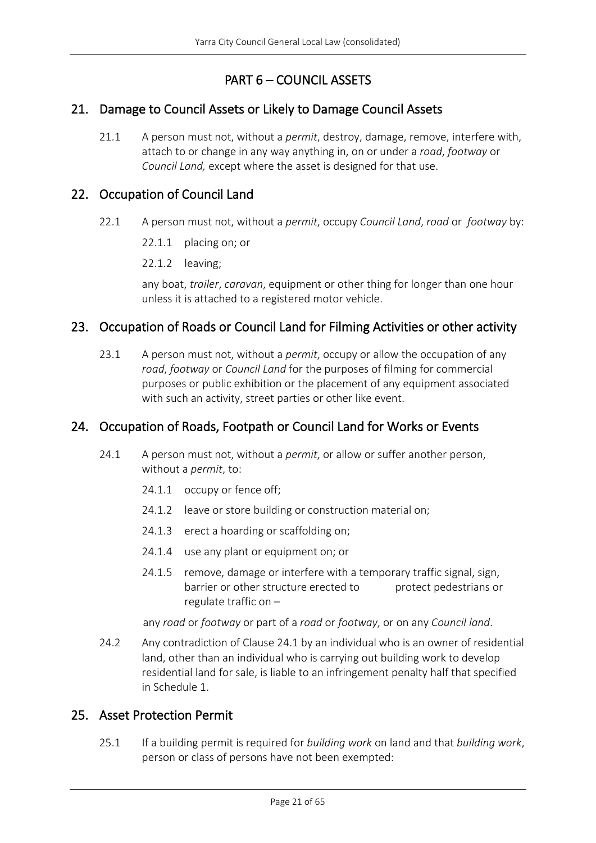# PART 6 – COUNCIL ASSETS

### <span id="page-20-1"></span><span id="page-20-0"></span>21. Damage to Council Assets or Likely to Damage Council Assets

21.1 A person must not, without a *permit*, destroy, damage, remove, interfere with, attach to or change in any way anything in, on or under a *road*, *footway* or *Council Land,* except where the asset is designed for that use.

### <span id="page-20-2"></span>22. Occupation of Council Land

- 22.1 A person must not, without a *permit*, occupy *Council Land*, *road* or *footway* by:
	- 22.1.1 placing on; or
	- 22.1.2 leaving;

any boat, *trailer*, *caravan*, equipment or other thing for longer than one hour unless it is attached to a registered motor vehicle.

# <span id="page-20-3"></span>23. Occupation of Roads or Council Land for Filming Activities or other activity

23.1 A person must not, without a *permit*, occupy or allow the occupation of any *road*, *footway* or *Council Land* for the purposes of filming for commercial purposes or public exhibition or the placement of any equipment associated with such an activity, street parties or other like event.

# <span id="page-20-4"></span>24. Occupation of Roads, Footpath or Council Land for Works or Events

- 24.1 A person must not, without a *permit*, or allow or suffer another person, without a *permit*, to:
	- 24.1.1 occupy or fence off;
	- 24.1.2 leave or store building or construction material on;
	- 24.1.3 erect a hoarding or scaffolding on;
	- 24.1.4 use any plant or equipment on; or
	- 24.1.5 remove, damage or interfere with a temporary traffic signal, sign, barrier or other structure erected to protect pedestrians or regulate traffic on –

any *road* or *footway* or part of a *road* or *footway*, or on any *Council land*.

24.2 Any contradiction of Clause 24.1 by an individual who is an owner of residential land, other than an individual who is carrying out building work to develop residential land for sale, is liable to an infringement penalty half that specified in Schedule 1.

### <span id="page-20-5"></span>25. Asset Protection Permit

25.1 If a building permit is required for *building work* on land and that *building work*, person or class of persons have not been exempted: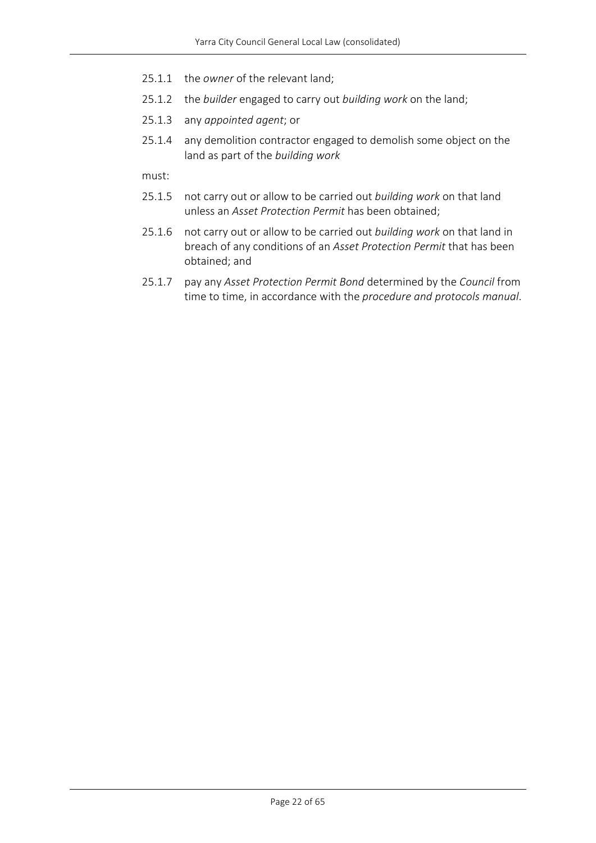- 25.1.1 the *owner* of the relevant land;
- 25.1.2 the *builder* engaged to carry out *building work* on the land;
- 25.1.3 any *appointed agent*; or
- 25.1.4 any demolition contractor engaged to demolish some object on the land as part of the *building work*

must:

- 25.1.5 not carry out or allow to be carried out *building work* on that land unless an *Asset Protection Permit* has been obtained;
- 25.1.6 not carry out or allow to be carried out *building work* on that land in breach of any conditions of an *Asset Protection Permit* that has been obtained; and
- 25.1.7 pay any *Asset Protection Permit Bond* determined by the *Council* from time to time, in accordance with the *procedure and protocols manual*.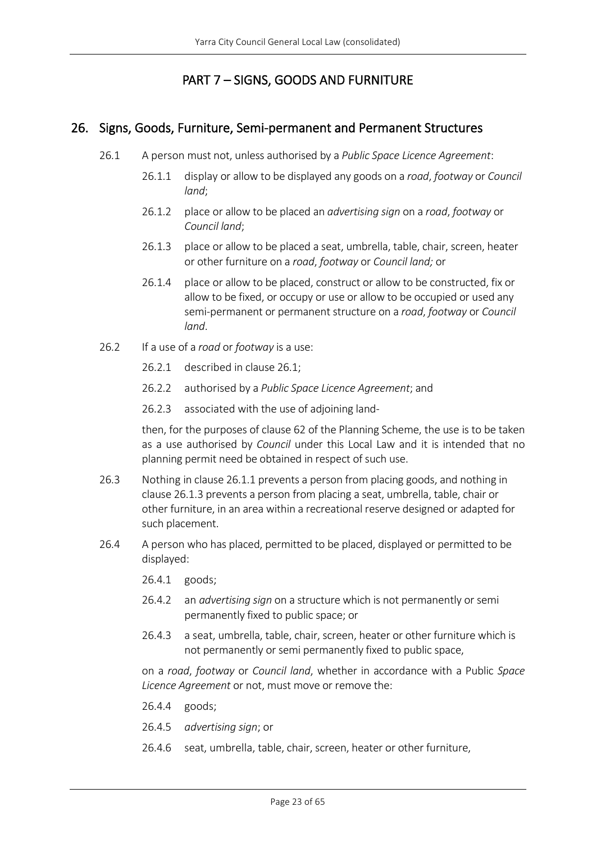# PART 7 – SIGNS, GOODS AND FURNITURE

### <span id="page-22-1"></span><span id="page-22-0"></span>26. Signs, Goods, Furniture, Semi-permanent and Permanent Structures

- 26.1 A person must not, unless authorised by a *Public Space Licence Agreement*:
	- 26.1.1 display or allow to be displayed any goods on a *road*, *footway* or *Council land*;
	- 26.1.2 place or allow to be placed an *advertising sign* on a *road*, *footway* or *Council land*;
	- 26.1.3 place or allow to be placed a seat, umbrella, table, chair, screen, heater or other furniture on a *road*, *footway* or *Council land;* or
	- 26.1.4 place or allow to be placed, construct or allow to be constructed, fix or allow to be fixed, or occupy or use or allow to be occupied or used any semi-permanent or permanent structure on a *road*, *footway* or *Council land*.
- 26.2 If a use of a *road* or *footway* is a use:
	- 26.2.1 described in clause 26.1;
	- 26.2.2 authorised by a *Public Space Licence Agreement*; and
	- 26.2.3 associated with the use of adjoining land-

then, for the purposes of clause 62 of the Planning Scheme, the use is to be taken as a use authorised by *Council* under this Local Law and it is intended that no planning permit need be obtained in respect of such use.

- 26.3 Nothing in clause 26.1.1 prevents a person from placing goods, and nothing in clause 26.1.3 prevents a person from placing a seat, umbrella, table, chair or other furniture, in an area within a recreational reserve designed or adapted for such placement.
- 26.4 A person who has placed, permitted to be placed, displayed or permitted to be displayed:
	- 26.4.1 goods;
	- 26.4.2 an *advertising sign* on a structure which is not permanently or semi permanently fixed to public space; or
	- 26.4.3 a seat, umbrella, table, chair, screen, heater or other furniture which is not permanently or semi permanently fixed to public space,

on a *road*, *footway* or *Council land*, whether in accordance with a Public *Space Licence Agreement* or not, must move or remove the:

- 26.4.4 goods;
- 26.4.5 *advertising sign*; or
- 26.4.6 seat, umbrella, table, chair, screen, heater or other furniture,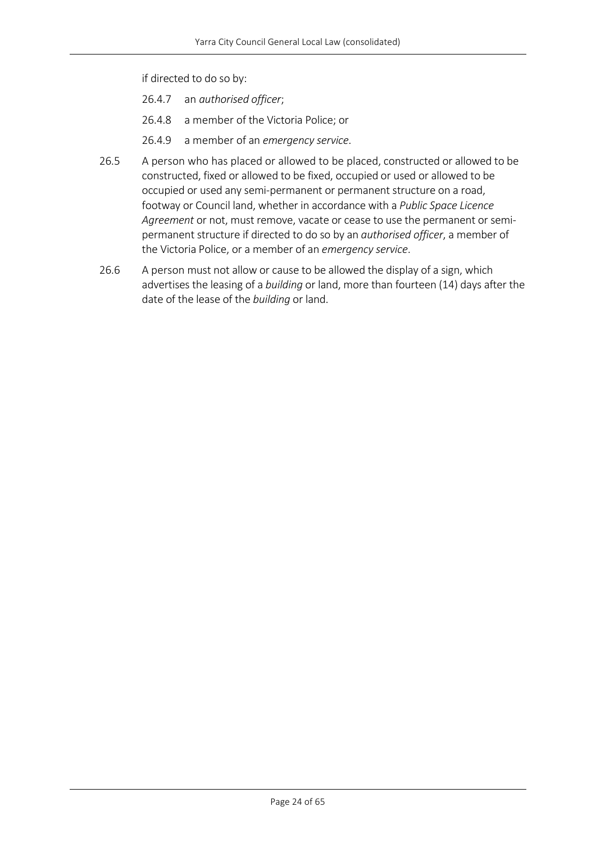if directed to do so by:

- 26.4.7 an *authorised officer*;
- 26.4.8 a member of the Victoria Police; or
- 26.4.9 a member of an *emergency service*.
- 26.5 A person who has placed or allowed to be placed, constructed or allowed to be constructed, fixed or allowed to be fixed, occupied or used or allowed to be occupied or used any semi-permanent or permanent structure on a road, footway or Council land, whether in accordance with a *Public Space Licence Agreement* or not, must remove, vacate or cease to use the permanent or semipermanent structure if directed to do so by an *authorised officer*, a member of the Victoria Police, or a member of an *emergency service*.
- 26.6 A person must not allow or cause to be allowed the display of a sign, which advertises the leasing of a *building* or land, more than fourteen (14) days after the date of the lease of the *building* or land.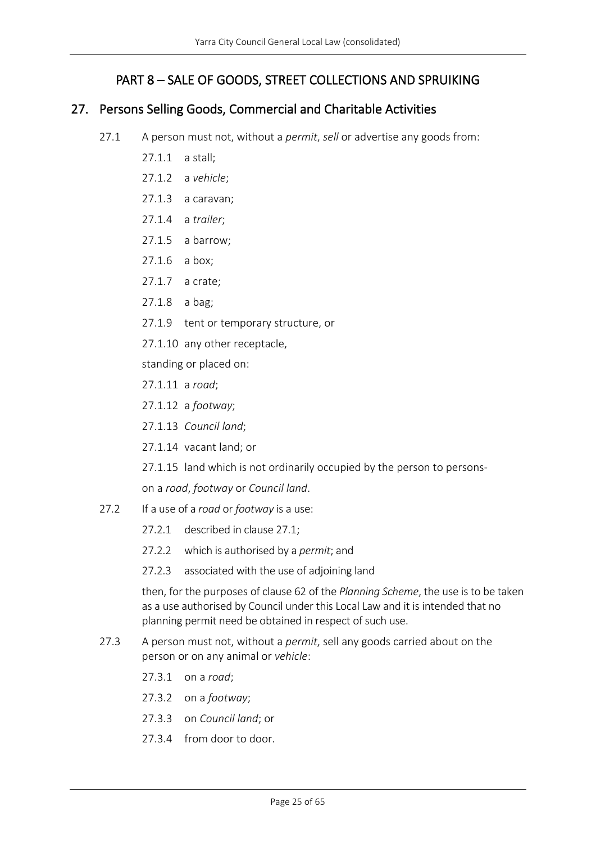# PART 8 – SALE OF GOODS, STREET COLLECTIONS AND SPRUIKING

### <span id="page-24-1"></span><span id="page-24-0"></span>27. Persons Selling Goods, Commercial and Charitable Activities

- 27.1 A person must not, without a *permit*, *sell* or advertise any goods from:
	- 27.1.1 a stall;
	- 27.1.2 a *vehicle*;
	- 27.1.3 a caravan;
	- 27.1.4 a *trailer*;
	- 27.1.5 a barrow;
	- 27.1.6 a box;
	- 27.1.7 a crate;
	- 27.1.8 a bag;
	- 27.1.9 tent or temporary structure, or
	- 27.1.10 any other receptacle,

standing or placed on:

- 27.1.11 a *road*;
- 27.1.12 a *footway*;
- 27.1.13 *Council land*;
- 27.1.14 vacant land; or
- 27.1.15 land which is not ordinarily occupied by the person to persons-
- on a *road*, *footway* or *Council land*.
- 27.2 If a use of a *road* or *footway* is a use:
	- 27.2.1 described in clause 27.1;
	- 27.2.2 which is authorised by a *permit*; and
	- 27.2.3 associated with the use of adjoining land

then, for the purposes of clause 62 of the *Planning Scheme*, the use is to be taken as a use authorised by Council under this Local Law and it is intended that no planning permit need be obtained in respect of such use.

- 27.3 A person must not, without a *permit*, sell any goods carried about on the person or on any animal or *vehicle*:
	- 27.3.1 on a *road*;
	- 27.3.2 on a *footway*;
	- 27.3.3 on *Council land*; or
	- 27.3.4 from door to door.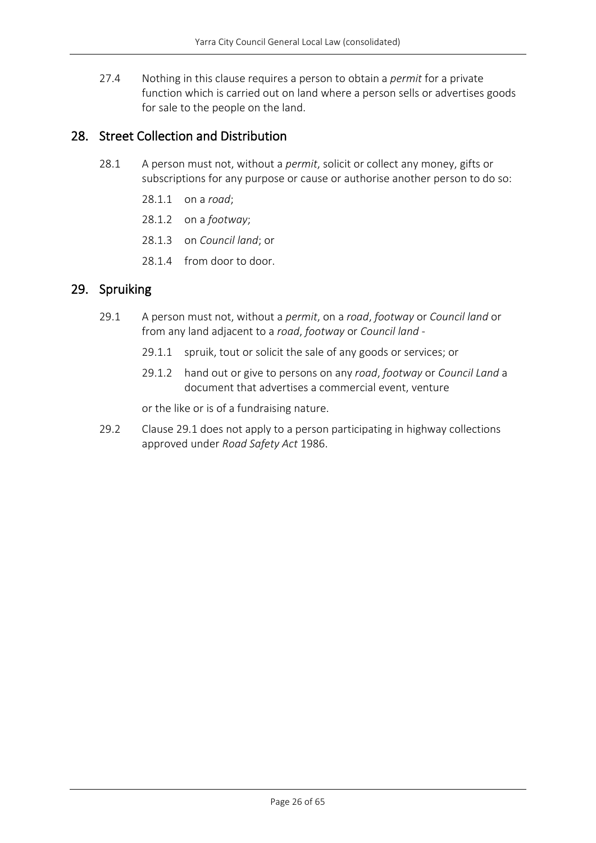27.4 Nothing in this clause requires a person to obtain a *permit* for a private function which is carried out on land where a person sells or advertises goods for sale to the people on the land.

### <span id="page-25-0"></span>28. Street Collection and Distribution

- 28.1 A person must not, without a *permit*, solicit or collect any money, gifts or subscriptions for any purpose or cause or authorise another person to do so:
	- 28.1.1 on a *road*;
	- 28.1.2 on a *footway*;
	- 28.1.3 on *Council land*; or
	- 28.1.4 from door to door.

### <span id="page-25-1"></span>29. Spruiking

- 29.1 A person must not, without a *permit*, on a *road*, *footway* or *Council land* or from any land adjacent to a *road*, *footway* or *Council land* -
	- 29.1.1 spruik, tout or solicit the sale of any goods or services; or
	- 29.1.2 hand out or give to persons on any *road*, *footway* or *Council Land* a document that advertises a commercial event, venture

or the like or is of a fundraising nature.

29.2 Clause 29.1 does not apply to a person participating in highway collections approved under *Road Safety Act* 1986.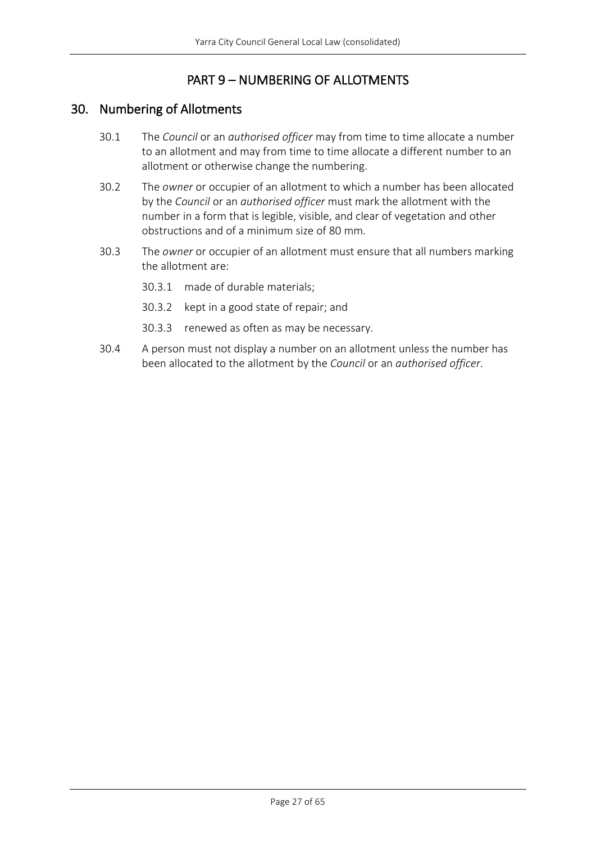# PART 9 – NUMBERING OF ALLOTMENTS

### <span id="page-26-1"></span><span id="page-26-0"></span>30. Numbering of Allotments

- 30.1 The *Council* or an *authorised officer* may from time to time allocate a number to an allotment and may from time to time allocate a different number to an allotment or otherwise change the numbering.
- 30.2 The *owner* or occupier of an allotment to which a number has been allocated by the *Council* or an *authorised officer* must mark the allotment with the number in a form that is legible, visible, and clear of vegetation and other obstructions and of a minimum size of 80 mm.
- 30.3 The *owner* or occupier of an allotment must ensure that all numbers marking the allotment are:
	- 30.3.1 made of durable materials;
	- 30.3.2 kept in a good state of repair; and
	- 30.3.3 renewed as often as may be necessary.
- 30.4 A person must not display a number on an allotment unless the number has been allocated to the allotment by the *Council* or an *authorised officer*.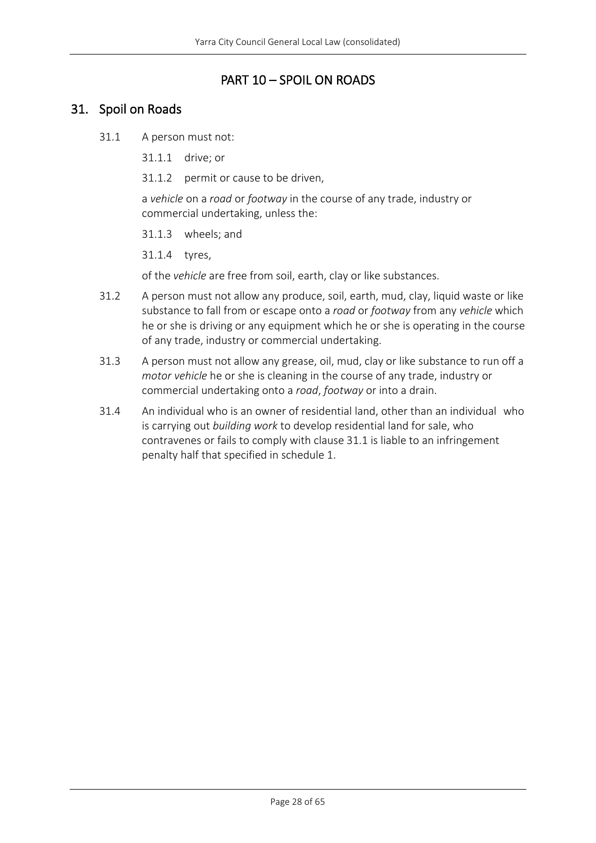### PART 10 – SPOIL ON ROADS

### <span id="page-27-1"></span><span id="page-27-0"></span>31. Spoil on Roads

- 31.1 A person must not:
	- 31.1.1 drive; or
	- 31.1.2 permit or cause to be driven,

a *vehicle* on a *road* or *footway* in the course of any trade, industry or commercial undertaking, unless the:

31.1.3 wheels; and

31.1.4 tyres,

of the *vehicle* are free from soil, earth, clay or like substances.

- 31.2 A person must not allow any produce, soil, earth, mud, clay, liquid waste or like substance to fall from or escape onto a *road* or *footway* from any *vehicle* which he or she is driving or any equipment which he or she is operating in the course of any trade, industry or commercial undertaking.
- 31.3 A person must not allow any grease, oil, mud, clay or like substance to run off a *motor vehicle* he or she is cleaning in the course of any trade, industry or commercial undertaking onto a *road*, *footway* or into a drain.
- 31.4 An individual who is an owner of residential land, other than an individual who is carrying out *building work* to develop residential land for sale, who contravenes or fails to comply with clause 31.1 is liable to an infringement penalty half that specified in schedule 1.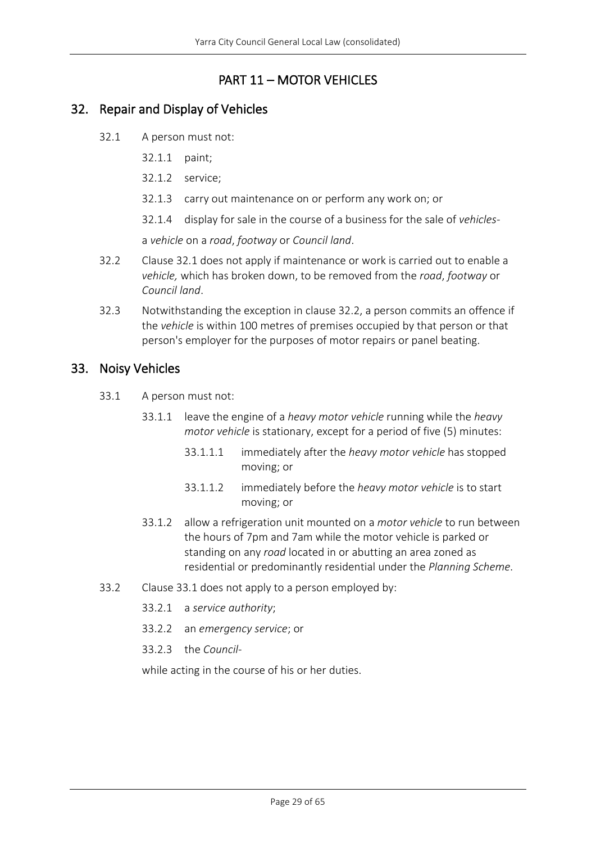# PART 11 – MOTOR VEHICLES

### <span id="page-28-1"></span><span id="page-28-0"></span>32. Repair and Display of Vehicles

- 32.1 A person must not:
	- 32.1.1 paint;
	- 32.1.2 service;
	- 32.1.3 carry out maintenance on or perform any work on; or
	- 32.1.4 display for sale in the course of a business for the sale of *vehicles*-

a *vehicle* on a *road*, *footway* or *Council land*.

- 32.2 Clause 32.1 does not apply if maintenance or work is carried out to enable a *vehicle,* which has broken down, to be removed from the *road*, *footway* or *Council land*.
- 32.3 Notwithstanding the exception in clause 32.2, a person commits an offence if the *vehicle* is within 100 metres of premises occupied by that person or that person's employer for the purposes of motor repairs or panel beating.

### <span id="page-28-2"></span>33. Noisy Vehicles

- 33.1 A person must not:
	- 33.1.1 leave the engine of a *heavy motor vehicle* running while the *heavy motor vehicle* is stationary, except for a period of five (5) minutes:
		- 33.1.1.1 immediately after the *heavy motor vehicle* has stopped moving; or
		- 33.1.1.2 immediately before the *heavy motor vehicle* is to start moving; or
	- 33.1.2 allow a refrigeration unit mounted on a *motor vehicle* to run between the hours of 7pm and 7am while the motor vehicle is parked or standing on any *road* located in or abutting an area zoned as residential or predominantly residential under the *Planning Scheme*.
- 33.2 Clause 33.1 does not apply to a person employed by:
	- 33.2.1 a *service authority*;
	- 33.2.2 an *emergency service*; or
	- 33.2.3 the *Council*-

while acting in the course of his or her duties.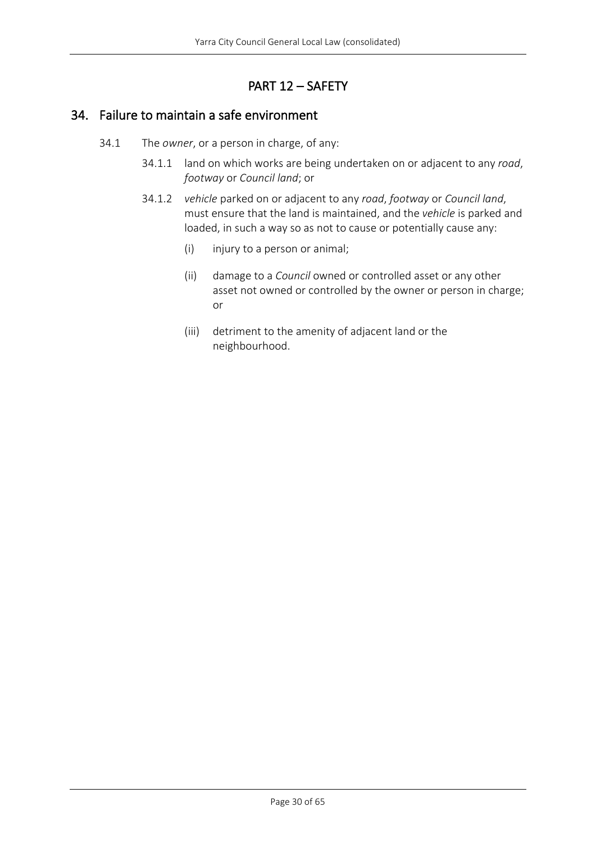# PART 12 – SAFETY

### <span id="page-29-1"></span><span id="page-29-0"></span>34. Failure to maintain a safe environment

- 34.1 The *owner*, or a person in charge, of any:
	- 34.1.1 land on which works are being undertaken on or adjacent to any *road*, *footway* or *Council land*; or
	- 34.1.2 *vehicle* parked on or adjacent to any *road*, *footway* or *Council land*, must ensure that the land is maintained, and the *vehicle* is parked and loaded, in such a way so as not to cause or potentially cause any:
		- (i) injury to a person or animal;
		- (ii) damage to a *Council* owned or controlled asset or any other asset not owned or controlled by the owner or person in charge; or
		- (iii) detriment to the amenity of adjacent land or the neighbourhood.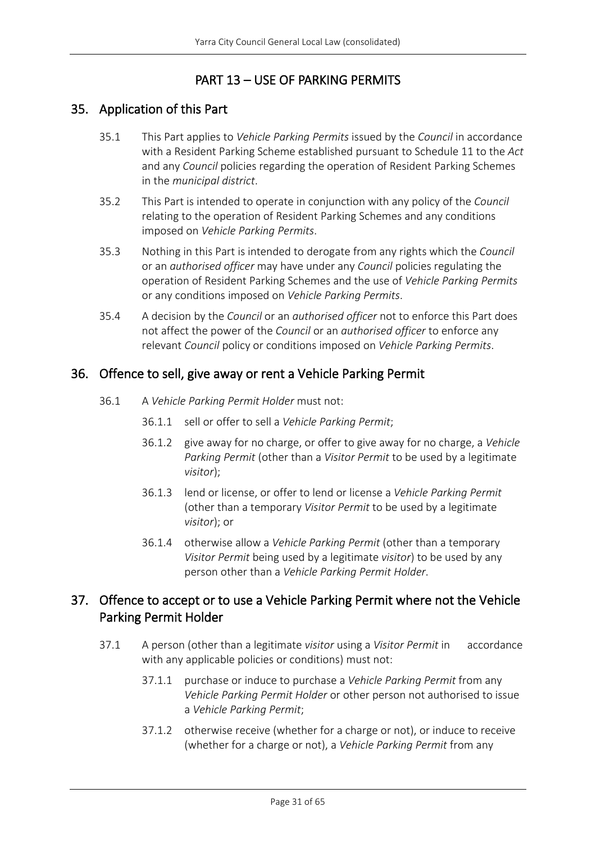# PART 13 – USE OF PARKING PERMITS

### <span id="page-30-1"></span><span id="page-30-0"></span>35. Application of this Part

- 35.1 This Part applies to *Vehicle Parking Permits* issued by the *Council* in accordance with a Resident Parking Scheme established pursuant to Schedule 11 to the *Act* and any *Council* policies regarding the operation of Resident Parking Schemes in the *municipal district*.
- 35.2 This Part is intended to operate in conjunction with any policy of the *Council* relating to the operation of Resident Parking Schemes and any conditions imposed on *Vehicle Parking Permits*.
- 35.3 Nothing in this Part is intended to derogate from any rights which the *Council* or an *authorised officer* may have under any *Council* policies regulating the operation of Resident Parking Schemes and the use of *Vehicle Parking Permits* or any conditions imposed on *Vehicle Parking Permits*.
- 35.4 A decision by the *Council* or an *authorised officer* not to enforce this Part does not affect the power of the *Council* or an *authorised officer* to enforce any relevant *Council* policy or conditions imposed on *Vehicle Parking Permits*.

### <span id="page-30-2"></span>36. Offence to sell, give away or rent a Vehicle Parking Permit

- 36.1 A *Vehicle Parking Permit Holder* must not:
	- 36.1.1 sell or offer to sell a *Vehicle Parking Permit*;
	- 36.1.2 give away for no charge, or offer to give away for no charge, a *Vehicle Parking Permit* (other than a *Visitor Permit* to be used by a legitimate *visitor*);
	- 36.1.3 lend or license, or offer to lend or license a *Vehicle Parking Permit* (other than a temporary *Visitor Permit* to be used by a legitimate *visitor*); or
	- 36.1.4 otherwise allow a *Vehicle Parking Permit* (other than a temporary *Visitor Permit* being used by a legitimate *visitor*) to be used by any person other than a *Vehicle Parking Permit Holder*.

# <span id="page-30-3"></span>37. Offence to accept or to use a Vehicle Parking Permit where not the Vehicle Parking Permit Holder

- 37.1 A person (other than a legitimate *visitor* using a *Visitor Permit* in accordance with any applicable policies or conditions) must not:
	- 37.1.1 purchase or induce to purchase a *Vehicle Parking Permit* from any *Vehicle Parking Permit Holder* or other person not authorised to issue a *Vehicle Parking Permit*;
	- 37.1.2 otherwise receive (whether for a charge or not), or induce to receive (whether for a charge or not), a *Vehicle Parking Permit* from any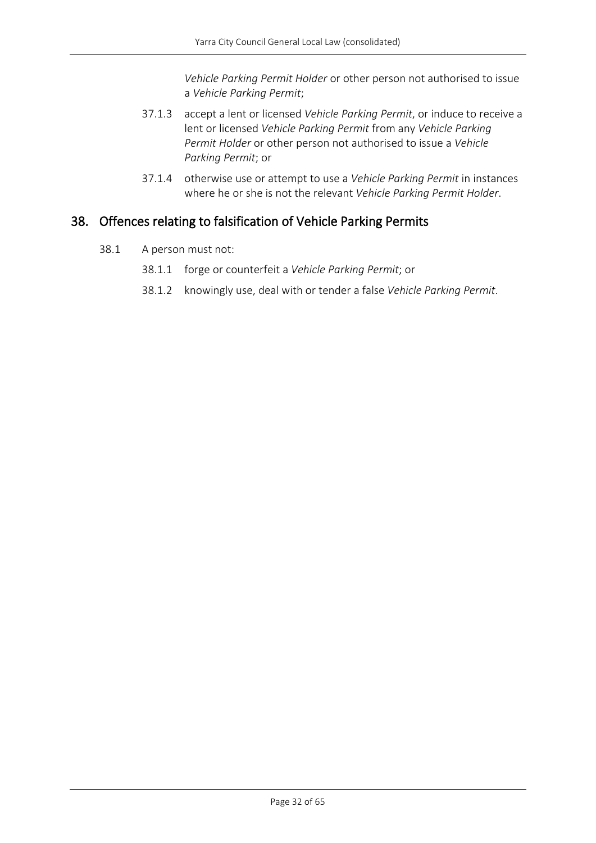*Vehicle Parking Permit Holder* or other person not authorised to issue a *Vehicle Parking Permit*;

- 37.1.3 accept a lent or licensed *Vehicle Parking Permit*, or induce to receive a lent or licensed *Vehicle Parking Permit* from any *Vehicle Parking Permit Holder* or other person not authorised to issue a *Vehicle Parking Permit*; or
- 37.1.4 otherwise use or attempt to use a *Vehicle Parking Permit* in instances where he or she is not the relevant *Vehicle Parking Permit Holder*.

### <span id="page-31-0"></span>38. Offences relating to falsification of Vehicle Parking Permits

- 38.1 A person must not:
	- 38.1.1 forge or counterfeit a *Vehicle Parking Permit*; or
	- 38.1.2 knowingly use, deal with or tender a false *Vehicle Parking Permit*.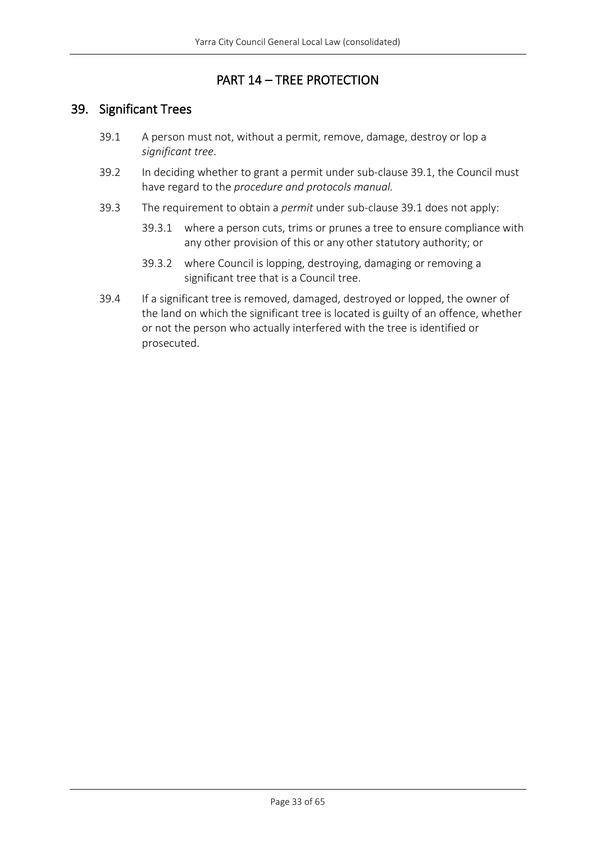### PART 14 – TREE PROTECTION

### <span id="page-32-1"></span><span id="page-32-0"></span>39. Significant Trees

- 39.1 A person must not, without a permit, remove, damage, destroy or lop a *significant tree*.
- 39.2 In deciding whether to grant a permit under sub-clause 39.1, the Council must have regard to the *procedure and protocols manual.*
- 39.3 The requirement to obtain a *permit* under sub-clause 39.1 does not apply:
	- 39.3.1 where a person cuts, trims or prunes a tree to ensure compliance with any other provision of this or any other statutory authority; or
	- 39.3.2 where Council is lopping, destroying, damaging or removing a significant tree that is a Council tree.
- 39.4 If a significant tree is removed, damaged, destroyed or lopped, the owner of the land on which the significant tree is located is guilty of an offence, whether or not the person who actually interfered with the tree is identified or prosecuted.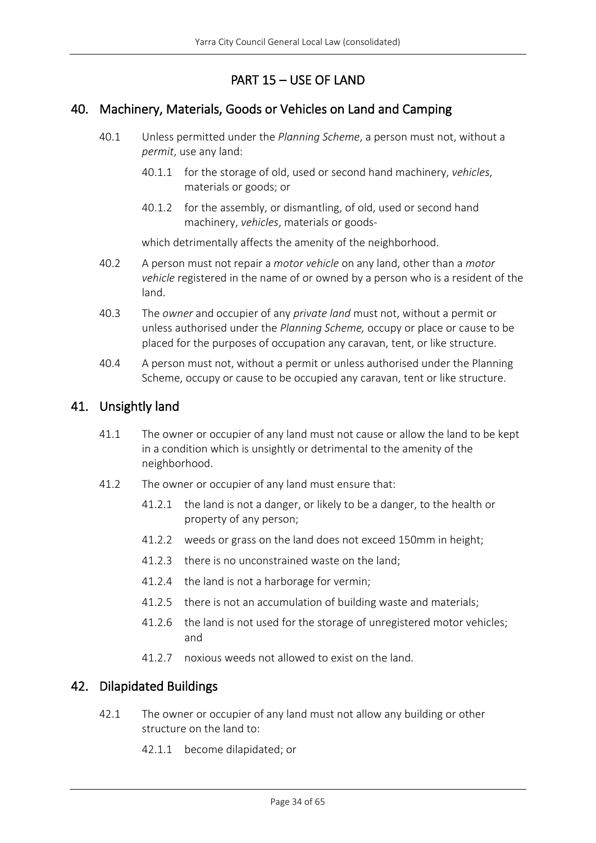# PART 15 – USE OF LAND

### <span id="page-33-1"></span><span id="page-33-0"></span>40. Machinery, Materials, Goods or Vehicles on Land and Camping

- 40.1 Unless permitted under the *Planning Scheme*, a person must not, without a *permit*, use any land:
	- 40.1.1 for the storage of old, used or second hand machinery, *vehicles*, materials or goods; or
	- 40.1.2 for the assembly, or dismantling, of old, used or second hand machinery, *vehicles*, materials or goods-

which detrimentally affects the amenity of the neighborhood.

- 40.2 A person must not repair a *motor vehicle* on any land, other than a *motor vehicle* registered in the name of or owned by a person who is a resident of the land.
- 40.3 The *owner* and occupier of any *private land* must not, without a permit or unless authorised under the *Planning Scheme,* occupy or place or cause to be placed for the purposes of occupation any caravan, tent, or like structure.
- 40.4 A person must not, without a permit or unless authorised under the Planning Scheme, occupy or cause to be occupied any caravan, tent or like structure.

### <span id="page-33-2"></span>41. Unsightly land

- 41.1 The owner or occupier of any land must not cause or allow the land to be kept in a condition which is unsightly or detrimental to the amenity of the neighborhood.
- 41.2 The owner or occupier of any land must ensure that:
	- 41.2.1 the land is not a danger, or likely to be a danger, to the health or property of any person;
	- 41.2.2 weeds or grass on the land does not exceed 150mm in height;
	- 41.2.3 there is no unconstrained waste on the land;
	- 41.2.4 the land is not a harborage for vermin;
	- 41.2.5 there is not an accumulation of building waste and materials;
	- 41.2.6 the land is not used for the storage of unregistered motor vehicles; and
	- 41.2.7 noxious weeds not allowed to exist on the land.

### <span id="page-33-3"></span>42. Dilapidated Buildings

- 42.1 The owner or occupier of any land must not allow any building or other structure on the land to:
	- 42.1.1 become dilapidated; or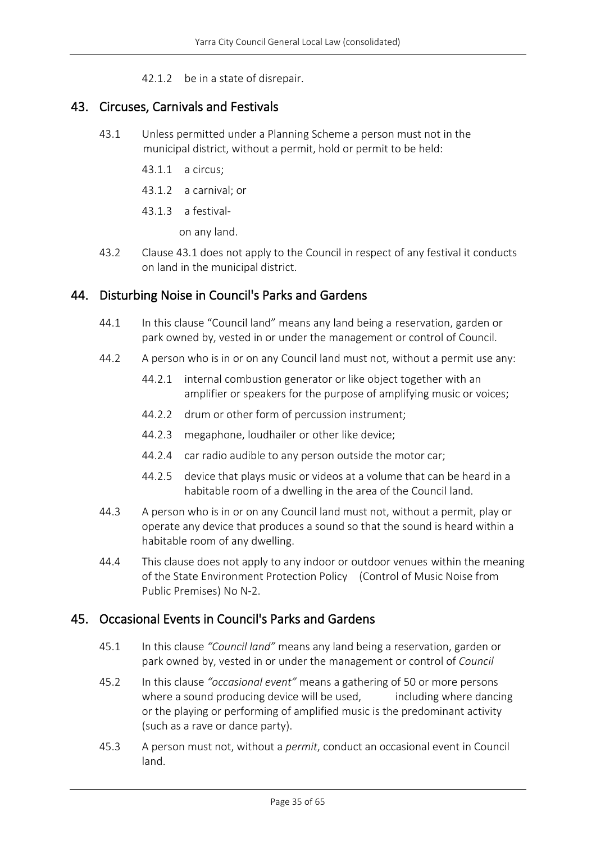42.1.2 be in a state of disrepair.

### <span id="page-34-0"></span>43. Circuses, Carnivals and Festivals

- 43.1 Unless permitted under a Planning Scheme a person must not in the municipal district, without a permit, hold or permit to be held:
	- 43.1.1 a circus;
	- 43.1.2 a carnival; or
	- 43.1.3 a festival-

on any land.

43.2 Clause 43.1 does not apply to the Council in respect of any festival it conducts on land in the municipal district.

### <span id="page-34-1"></span>44. Disturbing Noise in Council's Parks and Gardens

- 44.1 In this clause "Council land" means any land being a reservation, garden or park owned by, vested in or under the management or control of Council.
- 44.2 A person who is in or on any Council land must not, without a permit use any:
	- 44.2.1 internal combustion generator or like object together with an amplifier or speakers for the purpose of amplifying music or voices;
	- 44.2.2 drum or other form of percussion instrument;
	- 44.2.3 megaphone, loudhailer or other like device;
	- 44.2.4 car radio audible to any person outside the motor car;
	- 44.2.5 device that plays music or videos at a volume that can be heard in a habitable room of a dwelling in the area of the Council land.
- 44.3 A person who is in or on any Council land must not, without a permit, play or operate any device that produces a sound so that the sound is heard within a habitable room of any dwelling.
- 44.4 This clause does not apply to any indoor or outdoor venues within the meaning of the State Environment Protection Policy (Control of Music Noise from Public Premises) No N-2.

### <span id="page-34-2"></span>45. Occasional Events in Council's Parks and Gardens

- 45.1 In this clause *"Council land"* means any land being a reservation, garden or park owned by, vested in or under the management or control of *Council*
- 45.2 In this clause *"occasional event"* means a gathering of 50 or more persons where a sound producing device will be used. The including where dancing or the playing or performing of amplified music is the predominant activity (such as a rave or dance party).
- 45.3 A person must not, without a *permit*, conduct an occasional event in Council land.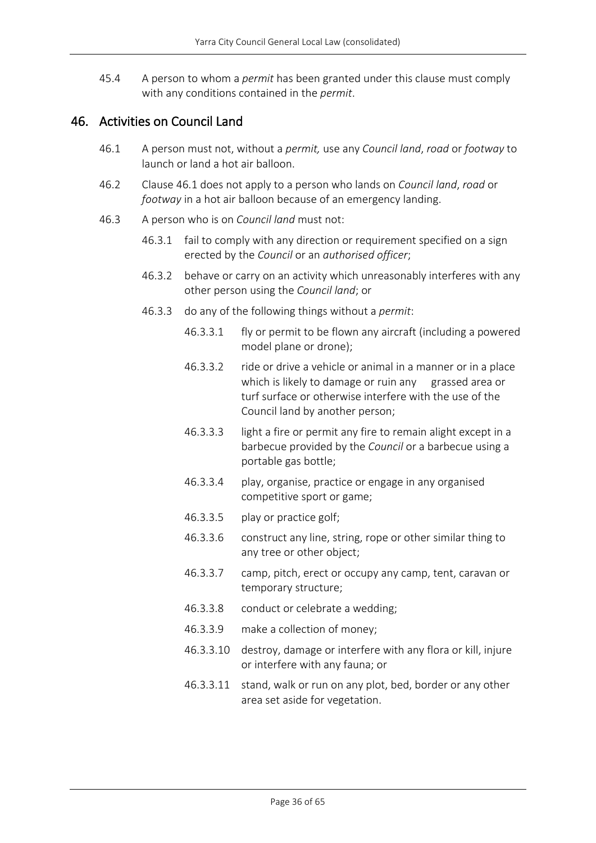45.4 A person to whom a *permit* has been granted under this clause must comply with any conditions contained in the *permit*.

### <span id="page-35-0"></span>46. Activities on Council Land

- 46.1 A person must not, without a *permit,* use any *Council land*, *road* or *footway* to launch or land a hot air balloon.
- 46.2 Clause 46.1 does not apply to a person who lands on *Council land*, *road* or *footway* in a hot air balloon because of an emergency landing.
- 46.3 A person who is on *Council land* must not:
	- 46.3.1 fail to comply with any direction or requirement specified on a sign erected by the *Council* or an *authorised officer*;
	- 46.3.2 behave or carry on an activity which unreasonably interferes with any other person using the *Council land*; or
	- 46.3.3 do any of the following things without a *permit*:
		- 46.3.3.1 fly or permit to be flown any aircraft (including a powered model plane or drone);
		- 46.3.3.2 ride or drive a vehicle or animal in a manner or in a place which is likely to damage or ruin any grassed area or turf surface or otherwise interfere with the use of the Council land by another person;
		- 46.3.3.3 light a fire or permit any fire to remain alight except in a barbecue provided by the *Council* or a barbecue using a portable gas bottle;
		- 46.3.3.4 play, organise, practice or engage in any organised competitive sport or game;
		- 46.3.3.5 play or practice golf;
		- 46.3.3.6 construct any line, string, rope or other similar thing to any tree or other object;
		- 46.3.3.7 camp, pitch, erect or occupy any camp, tent, caravan or temporary structure;
		- 46.3.3.8 conduct or celebrate a wedding;
		- 46.3.3.9 make a collection of money;
		- 46.3.3.10 destroy, damage or interfere with any flora or kill, injure or interfere with any fauna; or
		- 46.3.3.11 stand, walk or run on any plot, bed, border or any other area set aside for vegetation.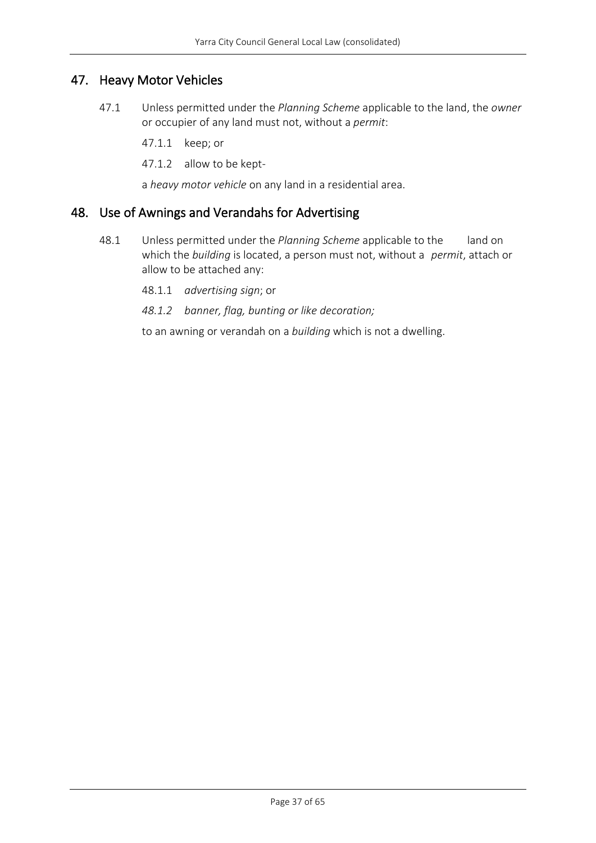# <span id="page-36-0"></span>47. Heavy Motor Vehicles

47.1 Unless permitted under the *Planning Scheme* applicable to the land, the *owner* or occupier of any land must not, without a *permit*:

47.1.1 keep; or

47.1.2 allow to be kept-

a *heavy motor vehicle* on any land in a residential area.

# <span id="page-36-1"></span>48. Use of Awnings and Verandahs for Advertising

- 48.1 Unless permitted under the *Planning Scheme* applicable to the land on which the *building* is located, a person must not, without a *permit*, attach or allow to be attached any:
	- 48.1.1 *advertising sign*; or
	- *48.1.2 banner, flag, bunting or like decoration;*

to an awning or verandah on a *building* which is not a dwelling.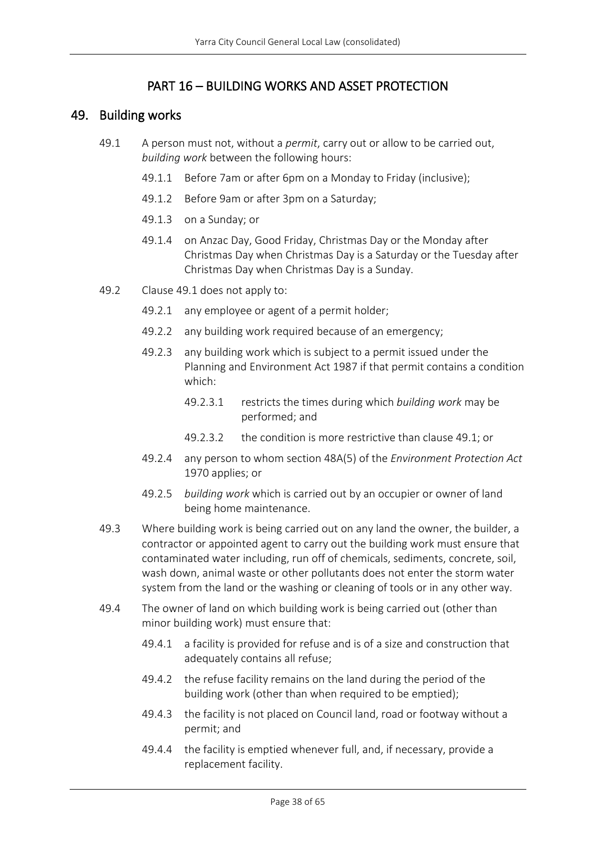# PART 16 – BUILDING WORKS AND ASSET PROTECTION

### <span id="page-37-1"></span><span id="page-37-0"></span>49. Building works

- 49.1 A person must not, without a *permit*, carry out or allow to be carried out, *building work* between the following hours:
	- 49.1.1 Before 7am or after 6pm on a Monday to Friday (inclusive);
	- 49.1.2 Before 9am or after 3pm on a Saturday;
	- 49.1.3 on a Sunday; or
	- 49.1.4 on Anzac Day, Good Friday, Christmas Day or the Monday after Christmas Day when Christmas Day is a Saturday or the Tuesday after Christmas Day when Christmas Day is a Sunday.
- 49.2 Clause 49.1 does not apply to:
	- 49.2.1 any employee or agent of a permit holder;
	- 49.2.2 any building work required because of an emergency;
	- 49.2.3 any building work which is subject to a permit issued under the Planning and Environment Act 1987 if that permit contains a condition which:
		- 49.2.3.1 restricts the times during which *building work* may be performed; and
		- 49.2.3.2 the condition is more restrictive than clause 49.1; or
	- 49.2.4 any person to whom section 48A(5) of the *Environment Protection Act* 1970 applies; or
	- 49.2.5 *building work* which is carried out by an occupier or owner of land being home maintenance.
- 49.3 Where building work is being carried out on any land the owner, the builder, a contractor or appointed agent to carry out the building work must ensure that contaminated water including, run off of chemicals, sediments, concrete, soil, wash down, animal waste or other pollutants does not enter the storm water system from the land or the washing or cleaning of tools or in any other way.
- 49.4 The owner of land on which building work is being carried out (other than minor building work) must ensure that:
	- 49.4.1 a facility is provided for refuse and is of a size and construction that adequately contains all refuse;
	- 49.4.2 the refuse facility remains on the land during the period of the building work (other than when required to be emptied);
	- 49.4.3 the facility is not placed on Council land, road or footway without a permit; and
	- 49.4.4 the facility is emptied whenever full, and, if necessary, provide a replacement facility.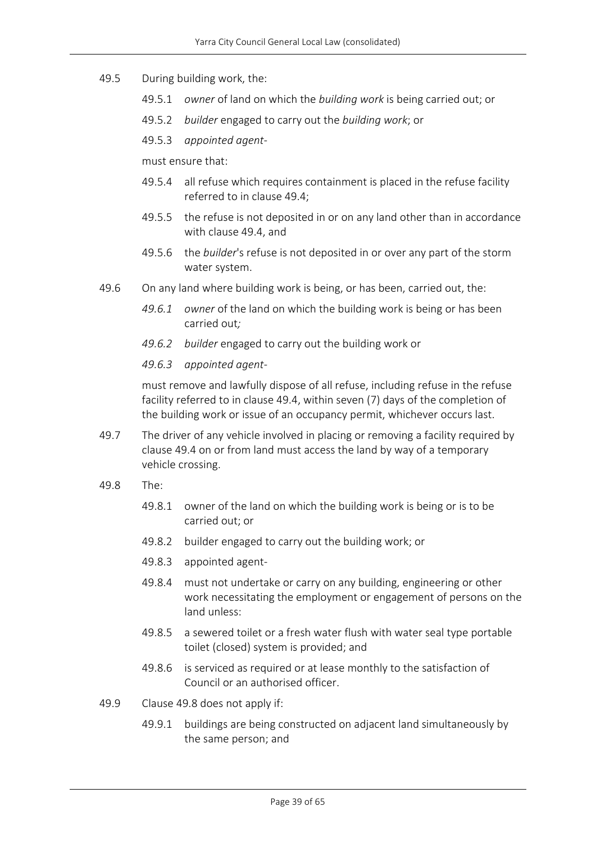#### 49.5 During building work, the:

- 49.5.1 *owner* of land on which the *building work* is being carried out; or
- 49.5.2 *builder* engaged to carry out the *building work*; or
- 49.5.3 *appointed agent*-

must ensure that:

- 49.5.4 all refuse which requires containment is placed in the refuse facility referred to in clause 49.4;
- 49.5.5 the refuse is not deposited in or on any land other than in accordance with clause 49.4, and
- 49.5.6 the *builder*'s refuse is not deposited in or over any part of the storm water system.
- 49.6 On any land where building work is being, or has been, carried out, the:
	- *49.6.1 owner* of the land on which the building work is being or has been carried out*;*
	- *49.6.2 builder* engaged to carry out the building work or

#### *49.6.3 appointed agent-*

must remove and lawfully dispose of all refuse, including refuse in the refuse facility referred to in clause 49.4, within seven (7) days of the completion of the building work or issue of an occupancy permit, whichever occurs last.

- 49.7 The driver of any vehicle involved in placing or removing a facility required by clause 49.4 on or from land must access the land by way of a temporary vehicle crossing.
- 49.8 The:
	- 49.8.1 owner of the land on which the building work is being or is to be carried out; or
	- 49.8.2 builder engaged to carry out the building work; or
	- 49.8.3 appointed agent-
	- 49.8.4 must not undertake or carry on any building, engineering or other work necessitating the employment or engagement of persons on the land unless:
	- 49.8.5 a sewered toilet or a fresh water flush with water seal type portable toilet (closed) system is provided; and
	- 49.8.6 is serviced as required or at lease monthly to the satisfaction of Council or an authorised officer.
- 49.9 Clause 49.8 does not apply if:
	- 49.9.1 buildings are being constructed on adjacent land simultaneously by the same person; and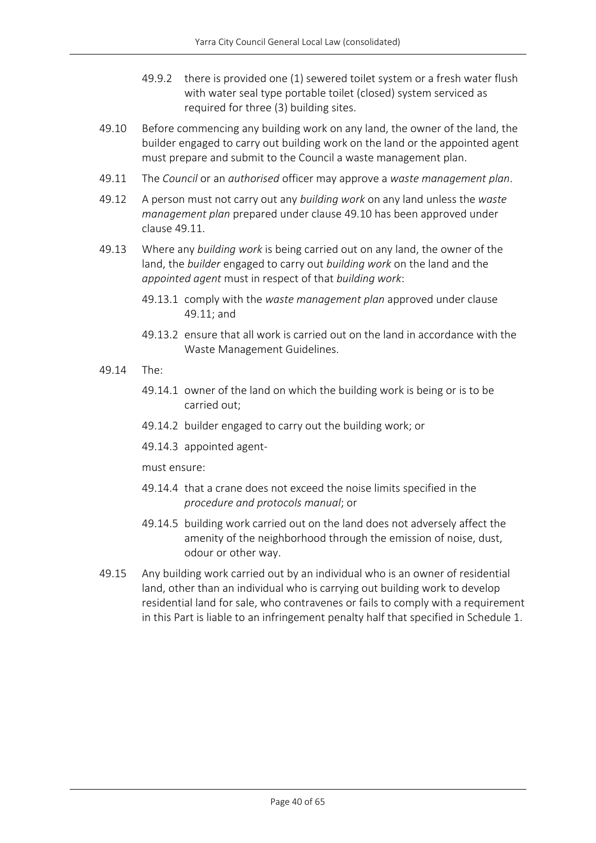- 49.9.2 there is provided one (1) sewered toilet system or a fresh water flush with water seal type portable toilet (closed) system serviced as required for three (3) building sites.
- 49.10 Before commencing any building work on any land, the owner of the land, the builder engaged to carry out building work on the land or the appointed agent must prepare and submit to the Council a waste management plan.
- 49.11 The *Council* or an *authorised* officer may approve a *waste management plan*.
- 49.12 A person must not carry out any *building work* on any land unless the *waste management plan* prepared under clause 49.10 has been approved under clause 49.11.
- 49.13 Where any *building work* is being carried out on any land, the owner of the land, the *builder* engaged to carry out *building work* on the land and the *appointed agent* must in respect of that *building work*:
	- 49.13.1 comply with the *waste management plan* approved under clause 49.11; and
	- 49.13.2 ensure that all work is carried out on the land in accordance with the Waste Management Guidelines.
- 49.14 The:
	- 49.14.1 owner of the land on which the building work is being or is to be carried out;
	- 49.14.2 builder engaged to carry out the building work; or
	- 49.14.3 appointed agent-

must ensure:

- 49.14.4 that a crane does not exceed the noise limits specified in the *procedure and protocols manual*; or
- 49.14.5 building work carried out on the land does not adversely affect the amenity of the neighborhood through the emission of noise, dust, odour or other way.
- 49.15 Any building work carried out by an individual who is an owner of residential land, other than an individual who is carrying out building work to develop residential land for sale, who contravenes or fails to comply with a requirement in this Part is liable to an infringement penalty half that specified in Schedule 1.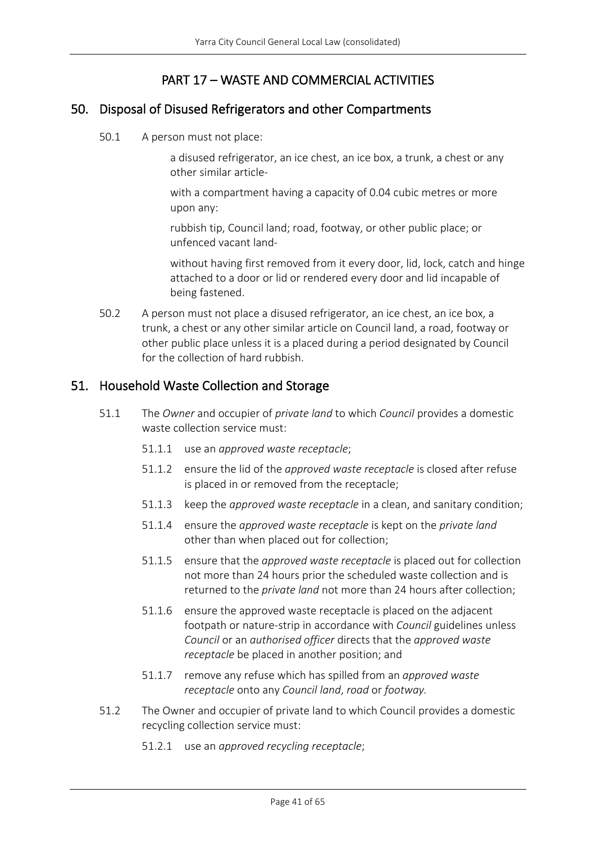# PART 17 – WASTE AND COMMERCIAL ACTIVITIES

### <span id="page-40-1"></span><span id="page-40-0"></span>50. Disposal of Disused Refrigerators and other Compartments

50.1 A person must not place:

a disused refrigerator, an ice chest, an ice box, a trunk, a chest or any other similar article-

with a compartment having a capacity of 0.04 cubic metres or more upon any:

rubbish tip, Council land; road, footway, or other public place; or unfenced vacant land-

without having first removed from it every door, lid, lock, catch and hinge attached to a door or lid or rendered every door and lid incapable of being fastened.

50.2 A person must not place a disused refrigerator, an ice chest, an ice box, a trunk, a chest or any other similar article on Council land, a road, footway or other public place unless it is a placed during a period designated by Council for the collection of hard rubbish.

### <span id="page-40-2"></span>51. Household Waste Collection and Storage

- 51.1 The *Owner* and occupier of *private land* to which *Council* provides a domestic waste collection service must:
	- 51.1.1 use an *approved waste receptacle*;
	- 51.1.2 ensure the lid of the *approved waste receptacle* is closed after refuse is placed in or removed from the receptacle;
	- 51.1.3 keep the *approved waste receptacle* in a clean, and sanitary condition;
	- 51.1.4 ensure the *approved waste receptacle* is kept on the *private land* other than when placed out for collection;
	- 51.1.5 ensure that the *approved waste receptacle* is placed out for collection not more than 24 hours prior the scheduled waste collection and is returned to the *private land* not more than 24 hours after collection;
	- 51.1.6 ensure the approved waste receptacle is placed on the adjacent footpath or nature-strip in accordance with *Council* guidelines unless *Council* or an *authorised officer* directs that the *approved waste receptacle* be placed in another position; and
	- 51.1.7 remove any refuse which has spilled from an *approved waste receptacle* onto any *Council land*, *road* or *footway.*
- 51.2 The Owner and occupier of private land to which Council provides a domestic recycling collection service must:
	- 51.2.1 use an *approved recycling receptacle*;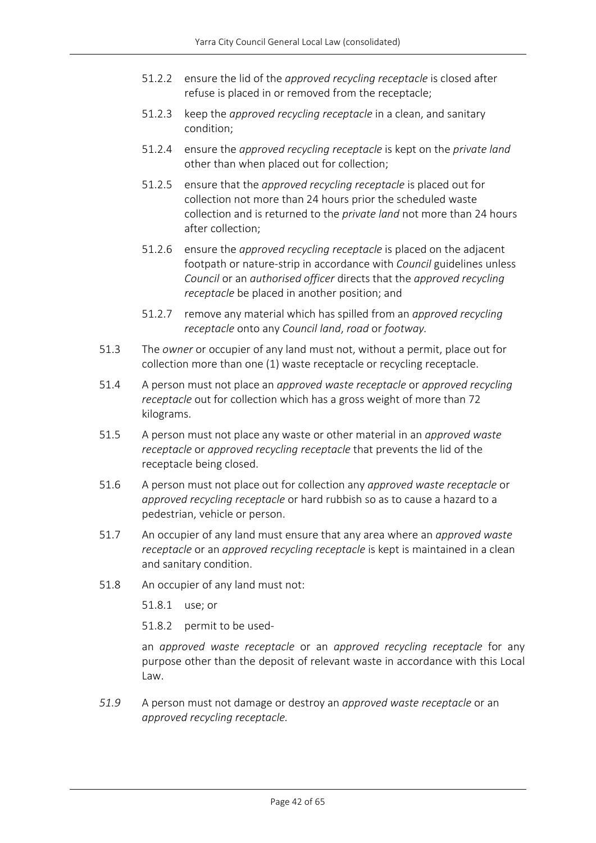- 51.2.2 ensure the lid of the *approved recycling receptacle* is closed after refuse is placed in or removed from the receptacle;
- 51.2.3 keep the *approved recycling receptacle* in a clean, and sanitary condition;
- 51.2.4 ensure the *approved recycling receptacle* is kept on the *private land* other than when placed out for collection;
- 51.2.5 ensure that the *approved recycling receptacle* is placed out for collection not more than 24 hours prior the scheduled waste collection and is returned to the *private land* not more than 24 hours after collection;
- 51.2.6 ensure the *approved recycling receptacle* is placed on the adjacent footpath or nature-strip in accordance with *Council* guidelines unless *Council* or an *authorised officer* directs that the *approved recycling receptacle* be placed in another position; and
- 51.2.7 remove any material which has spilled from an *approved recycling receptacle* onto any *Council land*, *road* or *footway.*
- 51.3 The *owner* or occupier of any land must not, without a permit, place out for collection more than one (1) waste receptacle or recycling receptacle.
- 51.4 A person must not place an *approved waste receptacle* or *approved recycling receptacle* out for collection which has a gross weight of more than 72 kilograms.
- 51.5 A person must not place any waste or other material in an *approved waste receptacle* or *approved recycling receptacle* that prevents the lid of the receptacle being closed.
- 51.6 A person must not place out for collection any *approved waste receptacle* or *approved recycling receptacle* or hard rubbish so as to cause a hazard to a pedestrian, vehicle or person.
- 51.7 An occupier of any land must ensure that any area where an *approved waste receptacle* or an *approved recycling receptacle* is kept is maintained in a clean and sanitary condition.
- 51.8 An occupier of any land must not:
	- 51.8.1 use; or

51.8.2 permit to be used-

an *approved waste receptacle* or an *approved recycling receptacle* for any purpose other than the deposit of relevant waste in accordance with this Local Law.

*51.9* A person must not damage or destroy an *approved waste receptacle* or an *approved recycling receptacle.*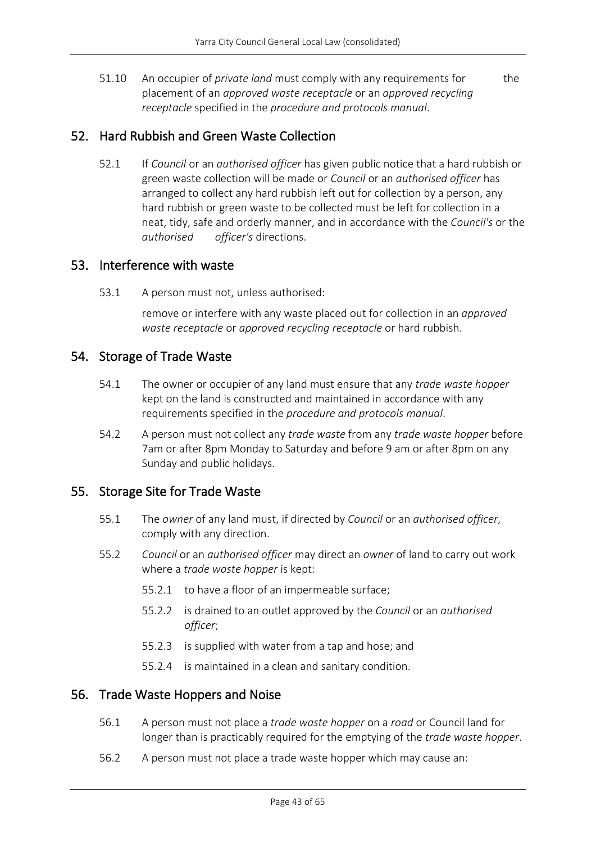51.10 An occupier of *private land* must comply with any requirements for the placement of an *approved waste receptacle* or an *approved recycling receptacle* specified in the *procedure and protocols manual*.

### <span id="page-42-0"></span>52. Hard Rubbish and Green Waste Collection

52.1 If *Council* or an *authorised officer* has given public notice that a hard rubbish or green waste collection will be made or *Council* or an *authorised officer* has arranged to collect any hard rubbish left out for collection by a person, any hard rubbish or green waste to be collected must be left for collection in a neat, tidy, safe and orderly manner, and in accordance with the *Council's* or the *authorised officer's* directions.

### <span id="page-42-1"></span>53. Interference with waste

53.1 A person must not, unless authorised:

remove or interfere with any waste placed out for collection in an *approved waste receptacle* or *approved recycling receptacle* or hard rubbish.

### <span id="page-42-2"></span>54. Storage of Trade Waste

- 54.1 The owner or occupier of any land must ensure that any *trade waste hopper* kept on the land is constructed and maintained in accordance with any requirements specified in the *procedure and protocols manual*.
- 54.2 A person must not collect any *trade waste* from any *trade waste hopper* before 7am or after 8pm Monday to Saturday and before 9 am or after 8pm on any Sunday and public holidays.

### <span id="page-42-3"></span>55. Storage Site for Trade Waste

- 55.1 The *owner* of any land must, if directed by *Council* or an *authorised officer*, comply with any direction.
- 55.2 *Council* or an *authorised officer* may direct an *owner* of land to carry out work where a *trade waste hopper* is kept:
	- 55.2.1 to have a floor of an impermeable surface;
	- 55.2.2 is drained to an outlet approved by the *Council* or an *authorised officer*;
	- 55.2.3 is supplied with water from a tap and hose; and
	- 55.2.4 is maintained in a clean and sanitary condition.

### <span id="page-42-4"></span>56. Trade Waste Hoppers and Noise

- 56.1 A person must not place a *trade waste hopper* on a *road* or Council land for longer than is practicably required for the emptying of the *trade waste hopper*.
- 56.2 A person must not place a trade waste hopper which may cause an: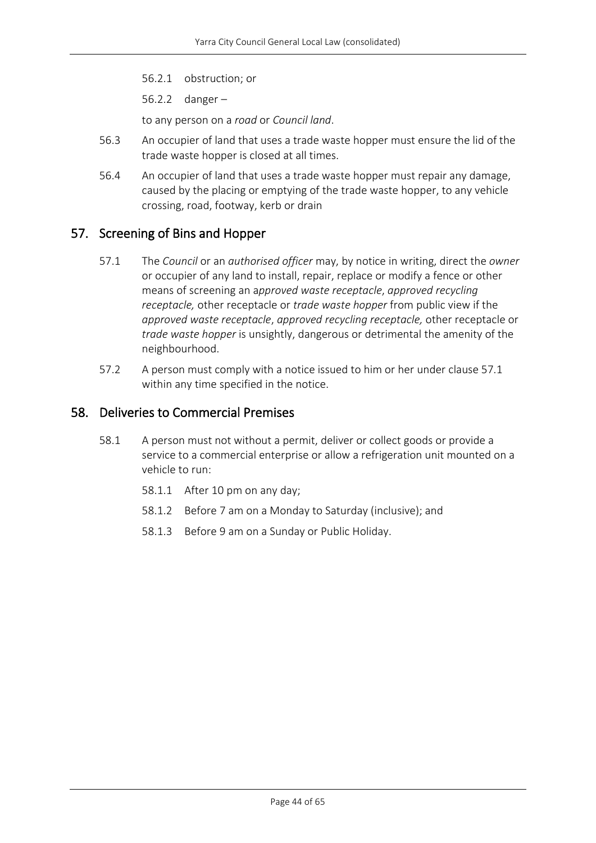56.2.1 obstruction; or

56.2.2 danger –

to any person on a *road* or *Council land*.

- 56.3 An occupier of land that uses a trade waste hopper must ensure the lid of the trade waste hopper is closed at all times.
- 56.4 An occupier of land that uses a trade waste hopper must repair any damage, caused by the placing or emptying of the trade waste hopper, to any vehicle crossing, road, footway, kerb or drain

### <span id="page-43-0"></span>57. Screening of Bins and Hopper

- 57.1 The *Council* or an *authorised officer* may, by notice in writing, direct the *owner* or occupier of any land to install, repair, replace or modify a fence or other means of screening an a*pproved waste receptacle*, *approved recycling receptacle,* other receptacle or *trade waste hopper* from public view if the *approved waste receptacle*, *approved recycling receptacle,* other receptacle or *trade waste hopper* is unsightly, dangerous or detrimental the amenity of the neighbourhood.
- 57.2 A person must comply with a notice issued to him or her under clause 57.1 within any time specified in the notice.

### <span id="page-43-1"></span>58. Deliveries to Commercial Premises

- 58.1 A person must not without a permit, deliver or collect goods or provide a service to a commercial enterprise or allow a refrigeration unit mounted on a vehicle to run:
	- 58.1.1 After 10 pm on any day;
	- 58.1.2 Before 7 am on a Monday to Saturday (inclusive); and
	- 58.1.3 Before 9 am on a Sunday or Public Holiday.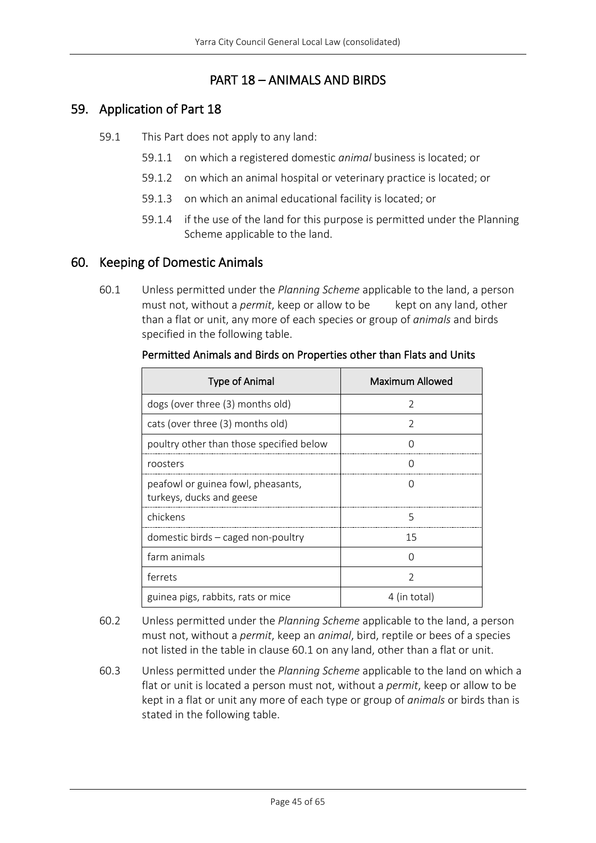# PART 18 – ANIMALS AND BIRDS

### <span id="page-44-1"></span><span id="page-44-0"></span>59. Application of Part 18

- 59.1 This Part does not apply to any land:
	- 59.1.1 on which a registered domestic *animal* business is located; or
	- 59.1.2 on which an animal hospital or veterinary practice is located; or
	- 59.1.3 on which an animal educational facility is located; or
	- 59.1.4 if the use of the land for this purpose is permitted under the Planning Scheme applicable to the land.

### <span id="page-44-2"></span>60. Keeping of Domestic Animals

60.1 Unless permitted under the *Planning Scheme* applicable to the land, a person must not, without a *permit*, keep or allow to be kept on any land, other than a flat or unit, any more of each species or group of *animals* and birds specified in the following table.

| <b>Type of Animal</b>                                          | Maximum Allowed  |
|----------------------------------------------------------------|------------------|
| dogs (over three (3) months old)                               | 2                |
| cats (over three (3) months old)                               | C                |
| poultry other than those specified below                       | $\cap$           |
| roosters                                                       | $\left( \right)$ |
| peafowl or guinea fowl, pheasants,<br>turkeys, ducks and geese | $\left( \right)$ |
| chickens                                                       | 5                |
| domestic birds - caged non-poultry                             | 15               |
| farm animals                                                   | ∩                |
| ferrets                                                        | $\mathcal{P}$    |
| guinea pigs, rabbits, rats or mice                             | 4 (in total)     |

### Permitted Animals and Birds on Properties other than Flats and Units

- 60.2 Unless permitted under the *Planning Scheme* applicable to the land, a person must not, without a *permit*, keep an *animal*, bird, reptile or bees of a species not listed in the table in clause 60.1 on any land, other than a flat or unit.
- 60.3 Unless permitted under the *Planning Scheme* applicable to the land on which a flat or unit is located a person must not, without a *permit*, keep or allow to be kept in a flat or unit any more of each type or group of *animals* or birds than is stated in the following table.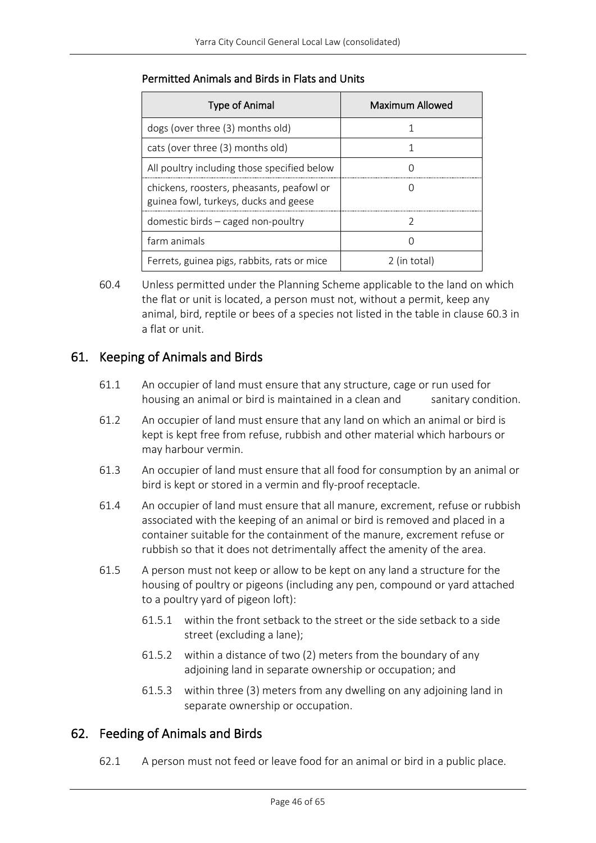| <b>Type of Animal</b>                                                              | Maximum Allowed |
|------------------------------------------------------------------------------------|-----------------|
| dogs (over three (3) months old)                                                   |                 |
| cats (over three (3) months old)                                                   |                 |
| All poultry including those specified below                                        |                 |
| chickens, roosters, pheasants, peafowl or<br>guinea fowl, turkeys, ducks and geese |                 |
| domestic birds $-$ caged non-poultry                                               |                 |
| farm animals                                                                       |                 |
| Ferrets, guinea pigs, rabbits, rats or mice                                        | 2 (in total)    |

### Permitted Animals and Birds in Flats and Units

60.4 Unless permitted under the Planning Scheme applicable to the land on which the flat or unit is located, a person must not, without a permit, keep any animal, bird, reptile or bees of a species not listed in the table in clause 60.3 in a flat or unit.

# <span id="page-45-0"></span>61. Keeping of Animals and Birds

- 61.1 An occupier of land must ensure that any structure, cage or run used for housing an animal or bird is maintained in a clean and sanitary condition.
- 61.2 An occupier of land must ensure that any land on which an animal or bird is kept is kept free from refuse, rubbish and other material which harbours or may harbour vermin.
- 61.3 An occupier of land must ensure that all food for consumption by an animal or bird is kept or stored in a vermin and fly-proof receptacle.
- 61.4 An occupier of land must ensure that all manure, excrement, refuse or rubbish associated with the keeping of an animal or bird is removed and placed in a container suitable for the containment of the manure, excrement refuse or rubbish so that it does not detrimentally affect the amenity of the area.
- 61.5 A person must not keep or allow to be kept on any land a structure for the housing of poultry or pigeons (including any pen, compound or yard attached to a poultry yard of pigeon loft):
	- 61.5.1 within the front setback to the street or the side setback to a side street (excluding a lane);
	- 61.5.2 within a distance of two (2) meters from the boundary of any adjoining land in separate ownership or occupation; and
	- 61.5.3 within three (3) meters from any dwelling on any adjoining land in separate ownership or occupation.

# <span id="page-45-2"></span><span id="page-45-1"></span>62. Feeding of Animals and Birds

62.1 A person must not feed or leave food for an animal or bird in a public place.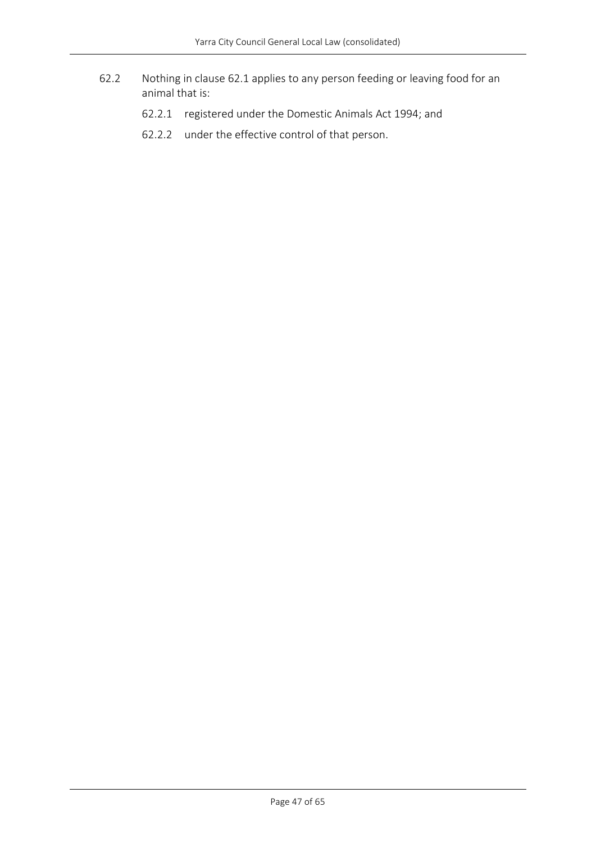- 62.2 Nothing in clause [62.1](#page-45-2) applies to any person feeding or leaving food for an animal that is:
	- 62.2.1 registered under the Domestic Animals Act 1994; and
	- 62.2.2 under the effective control of that person.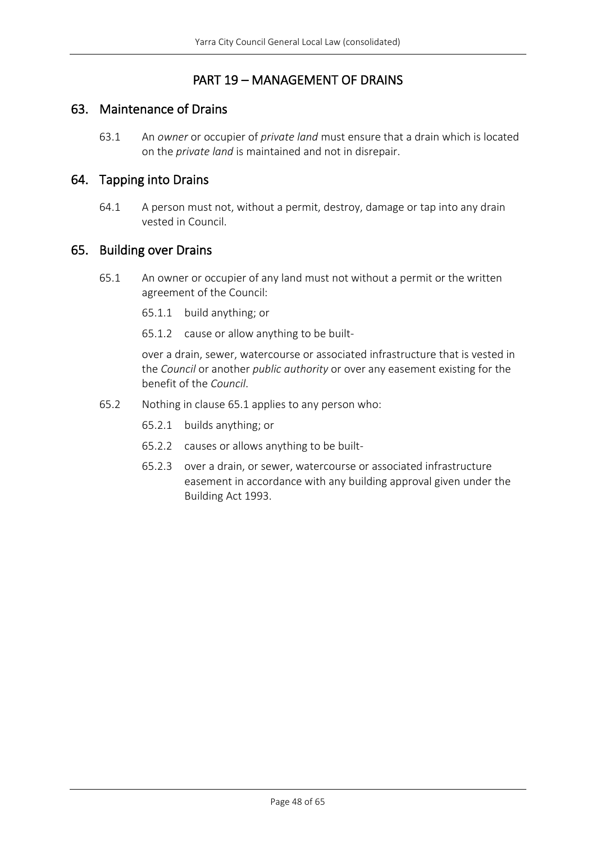# PART 19 – MANAGEMENT OF DRAINS

### <span id="page-47-1"></span><span id="page-47-0"></span>63. Maintenance of Drains

63.1 An *owner* or occupier of *private land* must ensure that a drain which is located on the *private land* is maintained and not in disrepair.

### <span id="page-47-2"></span>64. Tapping into Drains

64.1 A person must not, without a permit, destroy, damage or tap into any drain vested in Council.

### <span id="page-47-4"></span><span id="page-47-3"></span>65. Building over Drains

- 65.1 An owner or occupier of any land must not without a permit or the written agreement of the Council:
	- 65.1.1 build anything; or
	- 65.1.2 cause or allow anything to be built-

over a drain, sewer, watercourse or associated infrastructure that is vested in the *Council* or another *public authority* or over any easement existing for the benefit of the *Council*.

- 65.2 Nothing in claus[e 65.1](#page-47-4) applies to any person who:
	- 65.2.1 builds anything; or
	- 65.2.2 causes or allows anything to be built-
	- 65.2.3 over a drain, or sewer, watercourse or associated infrastructure easement in accordance with any building approval given under the Building Act 1993.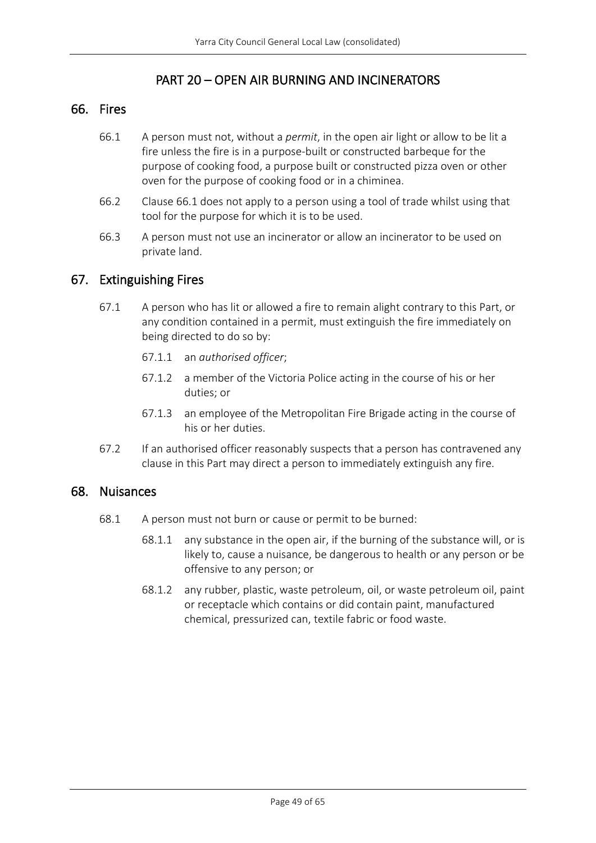# PART 20 – OPEN AIR BURNING AND INCINERATORS

### <span id="page-48-1"></span><span id="page-48-0"></span>66. Fires

- 66.1 A person must not, without a *permit*, in the open air light or allow to be lit a fire unless the fire is in a purpose-built or constructed barbeque for the purpose of cooking food, a purpose built or constructed pizza oven or other oven for the purpose of cooking food or in a chiminea.
- 66.2 Clause 66.1 does not apply to a person using a tool of trade whilst using that tool for the purpose for which it is to be used.
- 66.3 A person must not use an incinerator or allow an incinerator to be used on private land.

### <span id="page-48-2"></span>67. Extinguishing Fires

- 67.1 A person who has lit or allowed a fire to remain alight contrary to this Part, or any condition contained in a permit, must extinguish the fire immediately on being directed to do so by:
	- 67.1.1 an *authorised officer*;
	- 67.1.2 a member of the Victoria Police acting in the course of his or her duties; or
	- 67.1.3 an employee of the Metropolitan Fire Brigade acting in the course of his or her duties.
- 67.2 If an authorised officer reasonably suspects that a person has contravened any clause in this Part may direct a person to immediately extinguish any fire.

### <span id="page-48-3"></span>68. Nuisances

- 68.1 A person must not burn or cause or permit to be burned:
	- 68.1.1 any substance in the open air, if the burning of the substance will, or is likely to, cause a nuisance, be dangerous to health or any person or be offensive to any person; or
	- 68.1.2 any rubber, plastic, waste petroleum, oil, or waste petroleum oil, paint or receptacle which contains or did contain paint, manufactured chemical, pressurized can, textile fabric or food waste.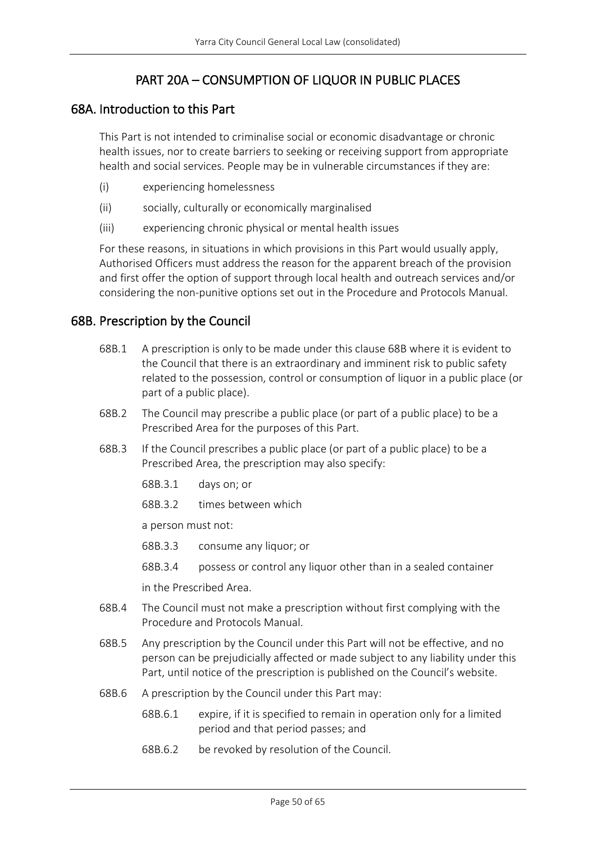# PART 20A – CONSUMPTION OF LIQUOR IN PUBLIC PLACES

### <span id="page-49-1"></span><span id="page-49-0"></span>68A. Introduction to this Part

This Part is not intended to criminalise social or economic disadvantage or chronic health issues, nor to create barriers to seeking or receiving support from appropriate health and social services. People may be in vulnerable circumstances if they are:

- (i) experiencing homelessness
- (ii) socially, culturally or economically marginalised
- (iii) experiencing chronic physical or mental health issues

For these reasons, in situations in which provisions in this Part would usually apply, Authorised Officers must address the reason for the apparent breach of the provision and first offer the option of support through local health and outreach services and/or considering the non-punitive options set out in the Procedure and Protocols Manual.

### <span id="page-49-2"></span>68B. Prescription by the Council

- 68B.1 A prescription is only to be made under this clause 68B where it is evident to the Council that there is an extraordinary and imminent risk to public safety related to the possession, control or consumption of liquor in a public place (or part of a public place).
- 68B.2 The Council may prescribe a public place (or part of a public place) to be a Prescribed Area for the purposes of this Part.
- 68B.3 If the Council prescribes a public place (or part of a public place) to be a Prescribed Area, the prescription may also specify:
	- 68B.3.1 days on; or
	- 68B.3.2 times between which

a person must not:

- 68B.3.3 consume any liquor; or
- 68B.3.4 possess or control any liquor other than in a sealed container

in the Prescribed Area.

- 68B.4 The Council must not make a prescription without first complying with the Procedure and Protocols Manual.
- 68B.5 Any prescription by the Council under this Part will not be effective, and no person can be prejudicially affected or made subject to any liability under this Part, until notice of the prescription is published on the Council's website.
- 68B.6 A prescription by the Council under this Part may:
	- 68B.6.1 expire, if it is specified to remain in operation only for a limited period and that period passes; and
	- 68B.6.2 be revoked by resolution of the Council.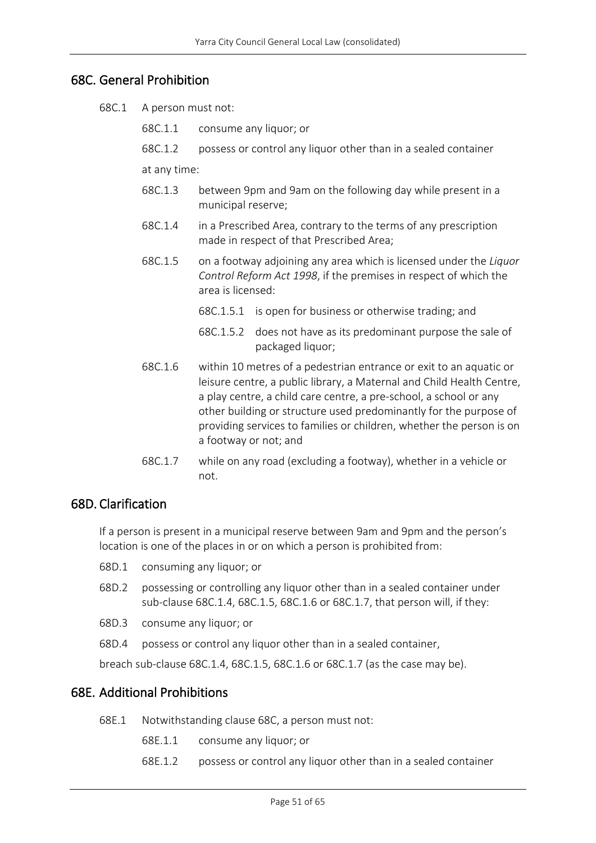### <span id="page-50-0"></span>68C. General Prohibition

- 68C.1 A person must not:
	- 68C.1.1 consume any liquor; or
	- 68C.1.2 possess or control any liquor other than in a sealed container

at any time:

- 68C.1.3 between 9pm and 9am on the following day while present in a municipal reserve;
- 68C.1.4 in a Prescribed Area, contrary to the terms of any prescription made in respect of that Prescribed Area;
- 68C.1.5 on a footway adjoining any area which is licensed under the *Liquor Control Reform Act 1998*, if the premises in respect of which the area is licensed:
	- 68C.1.5.1 is open for business or otherwise trading; and
	- 68C.1.5.2 does not have as its predominant purpose the sale of packaged liquor;
- 68C.1.6 within 10 metres of a pedestrian entrance or exit to an aquatic or leisure centre, a public library, a Maternal and Child Health Centre, a play centre, a child care centre, a pre-school, a school or any other building or structure used predominantly for the purpose of providing services to families or children, whether the person is on a footway or not; and
- 68C.1.7 while on any road (excluding a footway), whether in a vehicle or not.

### <span id="page-50-1"></span>68D. Clarification

If a person is present in a municipal reserve between 9am and 9pm and the person's location is one of the places in or on which a person is prohibited from:

- 68D.1 consuming any liquor; or
- 68D.2 possessing or controlling any liquor other than in a sealed container under sub-clause 68C.1.4, 68C.1.5, 68C.1.6 or 68C.1.7, that person will, if they:
- 68D.3 consume any liquor; or
- 68D.4 possess or control any liquor other than in a sealed container,

breach sub-clause 68C.1.4, 68C.1.5, 68C.1.6 or 68C.1.7 (as the case may be).

### <span id="page-50-2"></span>68E. Additional Prohibitions

- 68E.1 Notwithstanding clause 68C, a person must not:
	- 68E.1.1 consume any liquor; or
	- 68E.1.2 possess or control any liquor other than in a sealed container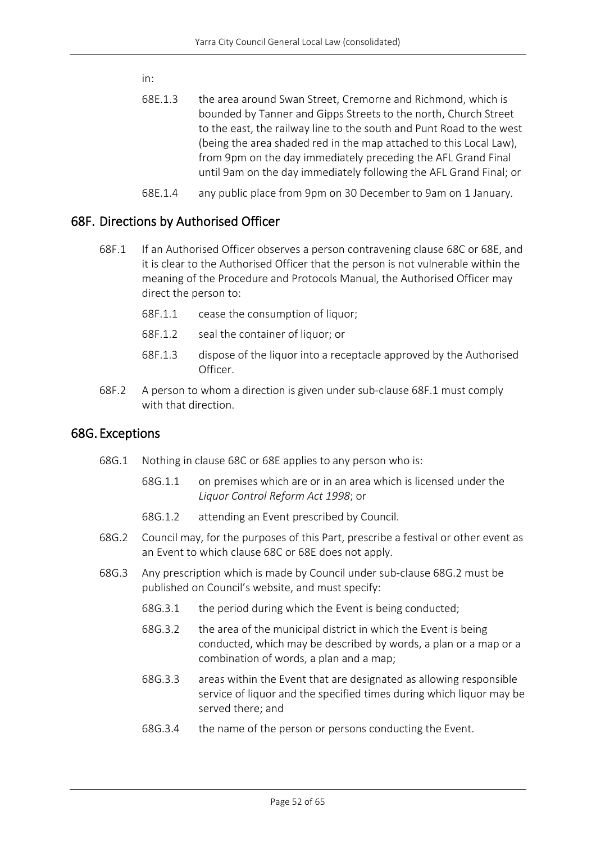in:

- 68E.1.3 the area around Swan Street, Cremorne and Richmond, which is bounded by Tanner and Gipps Streets to the north, Church Street to the east, the railway line to the south and Punt Road to the west (being the area shaded red in the map attached to this Local Law), from 9pm on the day immediately preceding the AFL Grand Final until 9am on the day immediately following the AFL Grand Final; or
- 68E.1.4 any public place from 9pm on 30 December to 9am on 1 January.

### <span id="page-51-0"></span>68F. Directions by Authorised Officer

- 68F.1 If an Authorised Officer observes a person contravening clause 68C or 68E, and it is clear to the Authorised Officer that the person is not vulnerable within the meaning of the Procedure and Protocols Manual, the Authorised Officer may direct the person to:
	- 68F.1.1 cease the consumption of liquor;
	- 68F.1.2 seal the container of liquor; or
	- 68F.1.3 dispose of the liquor into a receptacle approved by the Authorised Officer.
- 68F.2 A person to whom a direction is given under sub-clause 68F.1 must comply with that direction.

### <span id="page-51-1"></span>68G. Exceptions

- 68G.1 Nothing in clause 68C or 68E applies to any person who is:
	- 68G.1.1 on premises which are or in an area which is licensed under the *Liquor Control Reform Act 1998*; or
	- 68G.1.2 attending an Event prescribed by Council.
- 68G.2 Council may, for the purposes of this Part, prescribe a festival or other event as an Event to which clause 68C or 68E does not apply.
- 68G.3 Any prescription which is made by Council under sub-clause 68G.2 must be published on Council's website, and must specify:
	- 68G.3.1 the period during which the Event is being conducted;
	- 68G.3.2 the area of the municipal district in which the Event is being conducted, which may be described by words, a plan or a map or a combination of words, a plan and a map;
	- 68G.3.3 areas within the Event that are designated as allowing responsible service of liquor and the specified times during which liquor may be served there; and
	- 68G.3.4 the name of the person or persons conducting the Event.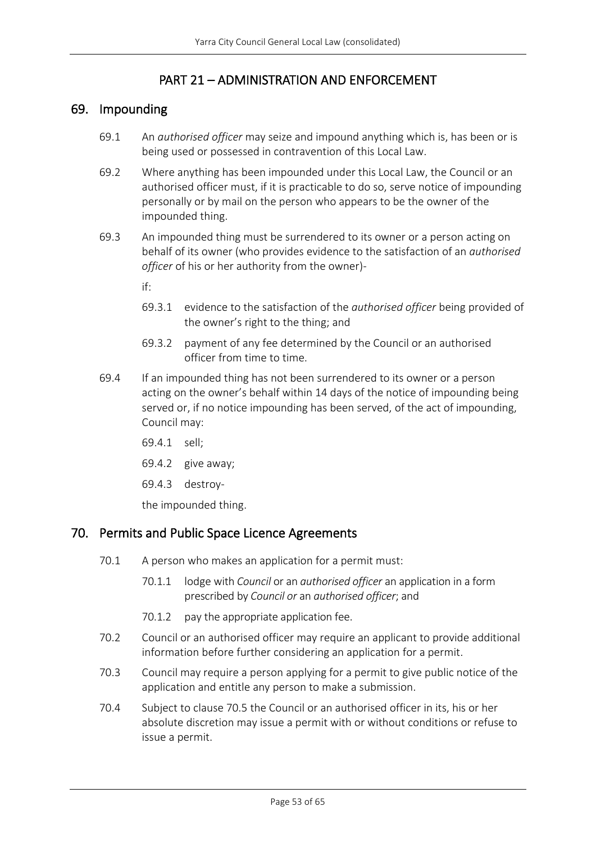# PART 21 – ADMINISTRATION AND ENFORCEMENT

### <span id="page-52-1"></span><span id="page-52-0"></span>69. Impounding

- 69.1 An *authorised officer* may seize and impound anything which is, has been or is being used or possessed in contravention of this Local Law.
- 69.2 Where anything has been impounded under this Local Law, the Council or an authorised officer must, if it is practicable to do so, serve notice of impounding personally or by mail on the person who appears to be the owner of the impounded thing.
- 69.3 An impounded thing must be surrendered to its owner or a person acting on behalf of its owner (who provides evidence to the satisfaction of an *authorised officer* of his or her authority from the owner)
	- if:
	- 69.3.1 evidence to the satisfaction of the *authorised officer* being provided of the owner's right to the thing; and
	- 69.3.2 payment of any fee determined by the Council or an authorised officer from time to time.
- 69.4 If an impounded thing has not been surrendered to its owner or a person acting on the owner's behalf within 14 days of the notice of impounding being served or, if no notice impounding has been served, of the act of impounding, Council may:
	- 69.4.1 sell;
	- 69.4.2 give away;
	- 69.4.3 destroy-

the impounded thing.

### <span id="page-52-2"></span>70. Permits and Public Space Licence Agreements

- 70.1 A person who makes an application for a permit must:
	- 70.1.1 lodge with *Council* or an *authorised officer* an application in a form prescribed by *Council or* an *authorised officer*; and
	- 70.1.2 pay the appropriate application fee.
- 70.2 Council or an authorised officer may require an applicant to provide additional information before further considering an application for a permit.
- 70.3 Council may require a person applying for a permit to give public notice of the application and entitle any person to make a submission.
- 70.4 Subject to clause 70.5 the Council or an authorised officer in its, his or her absolute discretion may issue a permit with or without conditions or refuse to issue a permit.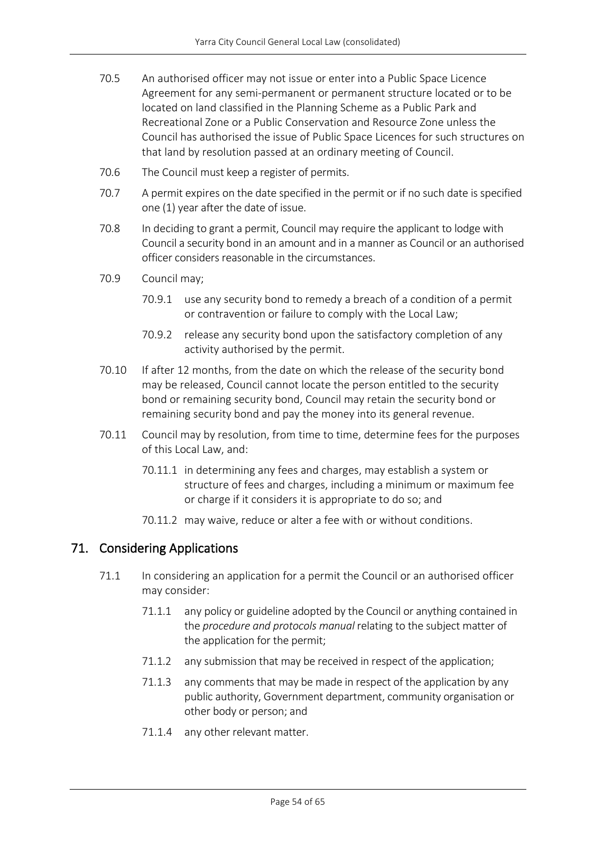- 70.5 An authorised officer may not issue or enter into a Public Space Licence Agreement for any semi-permanent or permanent structure located or to be located on land classified in the Planning Scheme as a Public Park and Recreational Zone or a Public Conservation and Resource Zone unless the Council has authorised the issue of Public Space Licences for such structures on that land by resolution passed at an ordinary meeting of Council.
- 70.6 The Council must keep a register of permits.
- 70.7 A permit expires on the date specified in the permit or if no such date is specified one (1) year after the date of issue.
- 70.8 In deciding to grant a permit, Council may require the applicant to lodge with Council a security bond in an amount and in a manner as Council or an authorised officer considers reasonable in the circumstances.
- 70.9 Council may;
	- 70.9.1 use any security bond to remedy a breach of a condition of a permit or contravention or failure to comply with the Local Law;
	- 70.9.2 release any security bond upon the satisfactory completion of any activity authorised by the permit.
- 70.10 If after 12 months, from the date on which the release of the security bond may be released, Council cannot locate the person entitled to the security bond or remaining security bond, Council may retain the security bond or remaining security bond and pay the money into its general revenue.
- 70.11 Council may by resolution, from time to time, determine fees for the purposes of this Local Law, and:
	- 70.11.1 in determining any fees and charges, may establish a system or structure of fees and charges, including a minimum or maximum fee or charge if it considers it is appropriate to do so; and
	- 70.11.2 may waive, reduce or alter a fee with or without conditions.

### <span id="page-53-0"></span>71. Considering Applications

- 71.1 In considering an application for a permit the Council or an authorised officer may consider:
	- 71.1.1 any policy or guideline adopted by the Council or anything contained in the *procedure and protocols manual* relating to the subject matter of the application for the permit;
	- 71.1.2 any submission that may be received in respect of the application;
	- 71.1.3 any comments that may be made in respect of the application by any public authority, Government department, community organisation or other body or person; and
	- 71.1.4 any other relevant matter.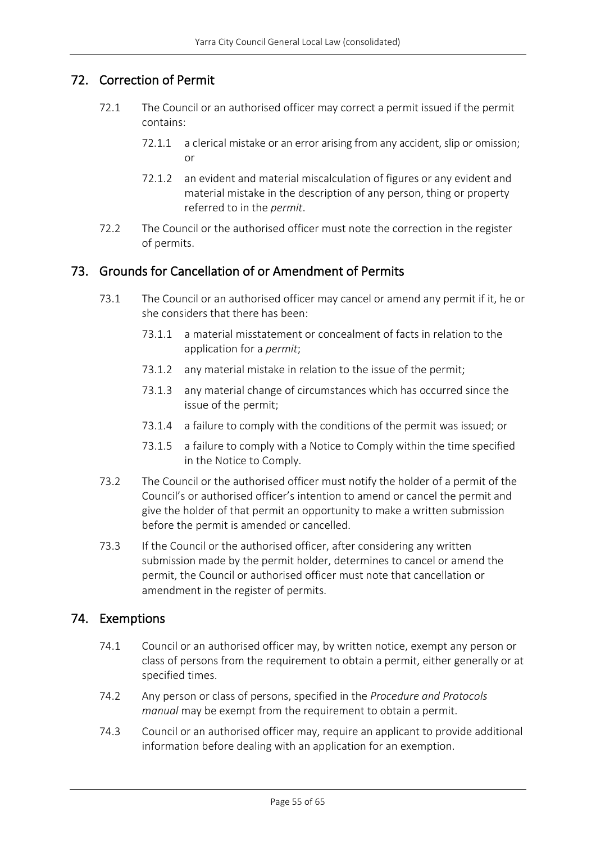### <span id="page-54-0"></span>72. Correction of Permit

- 72.1 The Council or an authorised officer may correct a permit issued if the permit contains:
	- 72.1.1 a clerical mistake or an error arising from any accident, slip or omission; or
	- 72.1.2 an evident and material miscalculation of figures or any evident and material mistake in the description of any person, thing or property referred to in the *permit*.
- 72.2 The Council or the authorised officer must note the correction in the register of permits.

### <span id="page-54-1"></span>73. Grounds for Cancellation of or Amendment of Permits

- 73.1 The Council or an authorised officer may cancel or amend any permit if it, he or she considers that there has been:
	- 73.1.1 a material misstatement or concealment of facts in relation to the application for a *permit*;
	- 73.1.2 any material mistake in relation to the issue of the permit;
	- 73.1.3 any material change of circumstances which has occurred since the issue of the permit;
	- 73.1.4 a failure to comply with the conditions of the permit was issued; or
	- 73.1.5 a failure to comply with a Notice to Comply within the time specified in the Notice to Comply.
- 73.2 The Council or the authorised officer must notify the holder of a permit of the Council's or authorised officer's intention to amend or cancel the permit and give the holder of that permit an opportunity to make a written submission before the permit is amended or cancelled.
- 73.3 If the Council or the authorised officer, after considering any written submission made by the permit holder, determines to cancel or amend the permit, the Council or authorised officer must note that cancellation or amendment in the register of permits.

### <span id="page-54-2"></span>74. Exemptions

- 74.1 Council or an authorised officer may, by written notice, exempt any person or class of persons from the requirement to obtain a permit, either generally or at specified times.
- 74.2 Any person or class of persons, specified in the *Procedure and Protocols manual* may be exempt from the requirement to obtain a permit.
- 74.3 Council or an authorised officer may, require an applicant to provide additional information before dealing with an application for an exemption.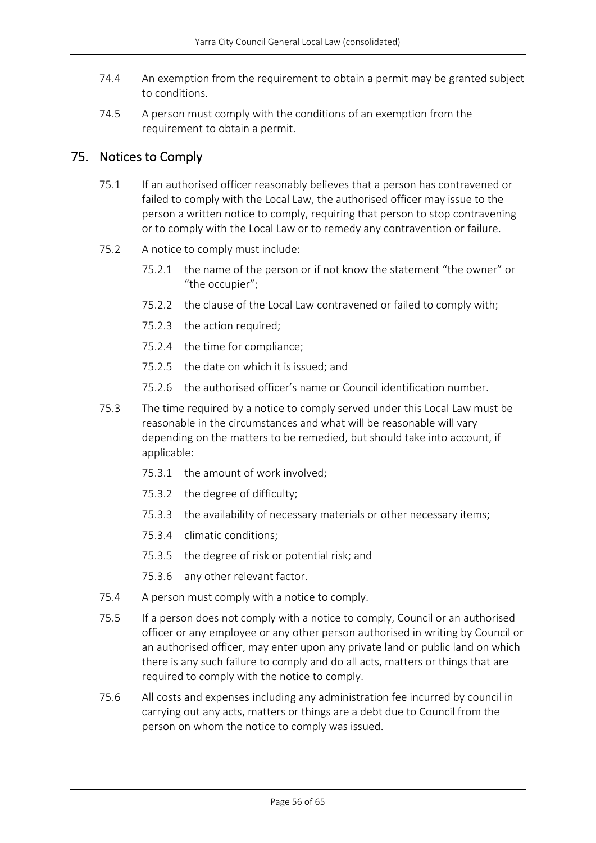- 74.4 An exemption from the requirement to obtain a permit may be granted subject to conditions.
- 74.5 A person must comply with the conditions of an exemption from the requirement to obtain a permit.

# <span id="page-55-0"></span>75. Notices to Comply

- 75.1 If an authorised officer reasonably believes that a person has contravened or failed to comply with the Local Law, the authorised officer may issue to the person a written notice to comply, requiring that person to stop contravening or to comply with the Local Law or to remedy any contravention or failure.
- 75.2 A notice to comply must include:
	- 75.2.1 the name of the person or if not know the statement "the owner" or "the occupier";
	- 75.2.2 the clause of the Local Law contravened or failed to comply with;
	- 75.2.3 the action required;
	- 75.2.4 the time for compliance;
	- 75.2.5 the date on which it is issued; and
	- 75.2.6 the authorised officer's name or Council identification number.
- 75.3 The time required by a notice to comply served under this Local Law must be reasonable in the circumstances and what will be reasonable will vary depending on the matters to be remedied, but should take into account, if applicable:
	- 75.3.1 the amount of work involved;
	- 75.3.2 the degree of difficulty;
	- 75.3.3 the availability of necessary materials or other necessary items;
	- 75.3.4 climatic conditions;
	- 75.3.5 the degree of risk or potential risk; and
	- 75.3.6 any other relevant factor.
- 75.4 A person must comply with a notice to comply.
- 75.5 If a person does not comply with a notice to comply, Council or an authorised officer or any employee or any other person authorised in writing by Council or an authorised officer, may enter upon any private land or public land on which there is any such failure to comply and do all acts, matters or things that are required to comply with the notice to comply.
- 75.6 All costs and expenses including any administration fee incurred by council in carrying out any acts, matters or things are a debt due to Council from the person on whom the notice to comply was issued.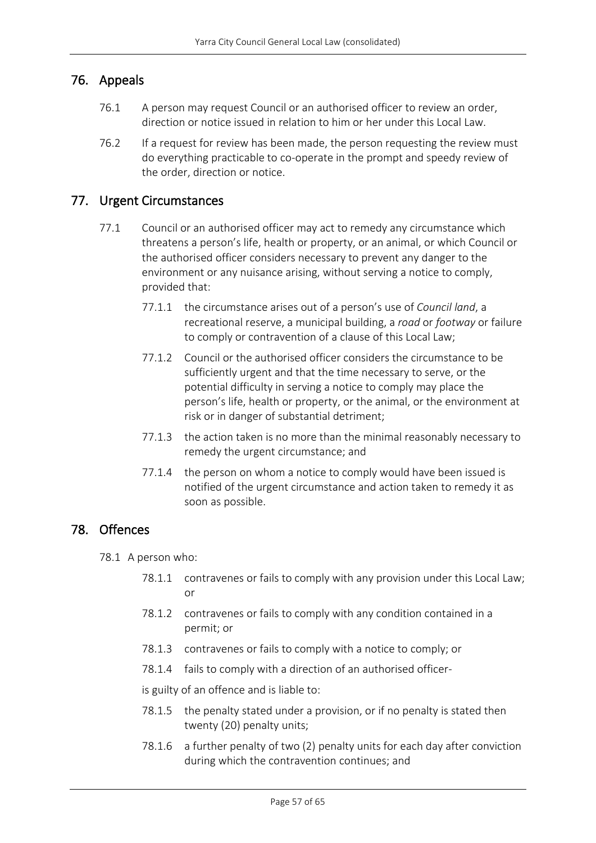### <span id="page-56-0"></span>76. Appeals

- 76.1 A person may request Council or an authorised officer to review an order, direction or notice issued in relation to him or her under this Local Law.
- 76.2 If a request for review has been made, the person requesting the review must do everything practicable to co-operate in the prompt and speedy review of the order, direction or notice.

### <span id="page-56-1"></span>77. Urgent Circumstances

- 77.1 Council or an authorised officer may act to remedy any circumstance which threatens a person's life, health or property, or an animal, or which Council or the authorised officer considers necessary to prevent any danger to the environment or any nuisance arising, without serving a notice to comply, provided that:
	- 77.1.1 the circumstance arises out of a person's use of *Council land*, a recreational reserve, a municipal building, a *road* or *footway* or failure to comply or contravention of a clause of this Local Law;
	- 77.1.2 Council or the authorised officer considers the circumstance to be sufficiently urgent and that the time necessary to serve, or the potential difficulty in serving a notice to comply may place the person's life, health or property, or the animal, or the environment at risk or in danger of substantial detriment;
	- 77.1.3 the action taken is no more than the minimal reasonably necessary to remedy the urgent circumstance; and
	- 77.1.4 the person on whom a notice to comply would have been issued is notified of the urgent circumstance and action taken to remedy it as soon as possible.

### <span id="page-56-2"></span>78. Offences

78.1 A person who:

- 78.1.1 contravenes or fails to comply with any provision under this Local Law; or
- 78.1.2 contravenes or fails to comply with any condition contained in a permit; or
- 78.1.3 contravenes or fails to comply with a notice to comply; or
- 78.1.4 fails to comply with a direction of an authorised officer-

is guilty of an offence and is liable to:

- 78.1.5 the penalty stated under a provision, or if no penalty is stated then twenty (20) penalty units;
- 78.1.6 a further penalty of two (2) penalty units for each day after conviction during which the contravention continues; and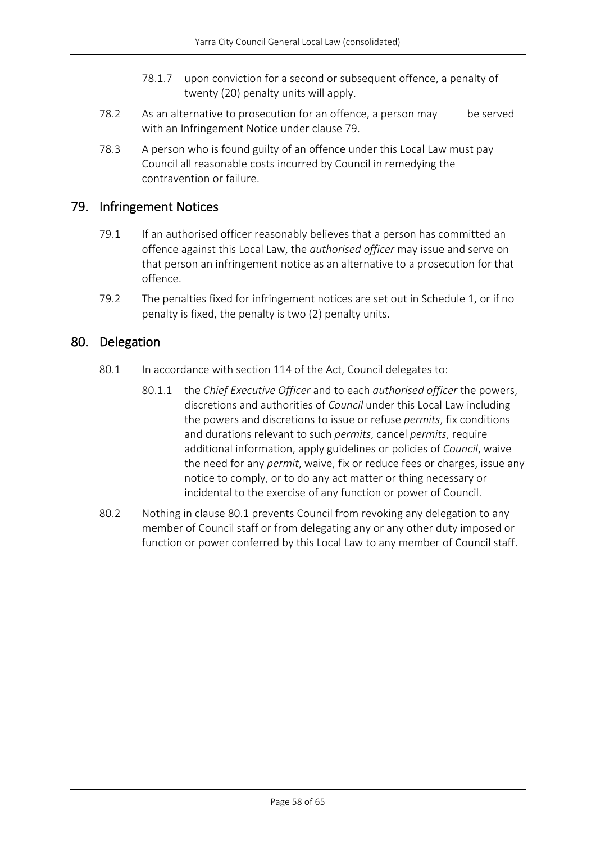- 78.1.7 upon conviction for a second or subsequent offence, a penalty of twenty (20) penalty units will apply.
- 78.2 As an alternative to prosecution for an offence, a person may be served with an Infringement Notice under clause 79.
- 78.3 A person who is found guilty of an offence under this Local Law must pay Council all reasonable costs incurred by Council in remedying the contravention or failure.

### <span id="page-57-0"></span>79. Infringement Notices

- 79.1 If an authorised officer reasonably believes that a person has committed an offence against this Local Law, the *authorised officer* may issue and serve on that person an infringement notice as an alternative to a prosecution for that offence.
- 79.2 The penalties fixed for infringement notices are set out in Schedule 1, or if no penalty is fixed, the penalty is two (2) penalty units.

### <span id="page-57-1"></span>80. Delegation

- 80.1 In accordance with section 114 of the Act, Council delegates to:
	- 80.1.1 the *Chief Executive Officer* and to each *authorised officer* the powers, discretions and authorities of *Council* under this Local Law including the powers and discretions to issue or refuse *permits*, fix conditions and durations relevant to such *permits*, cancel *permits*, require additional information, apply guidelines or policies of *Council*, waive the need for any *permit*, waive, fix or reduce fees or charges, issue any notice to comply, or to do any act matter or thing necessary or incidental to the exercise of any function or power of Council.
- 80.2 Nothing in clause 80.1 prevents Council from revoking any delegation to any member of Council staff or from delegating any or any other duty imposed or function or power conferred by this Local Law to any member of Council staff.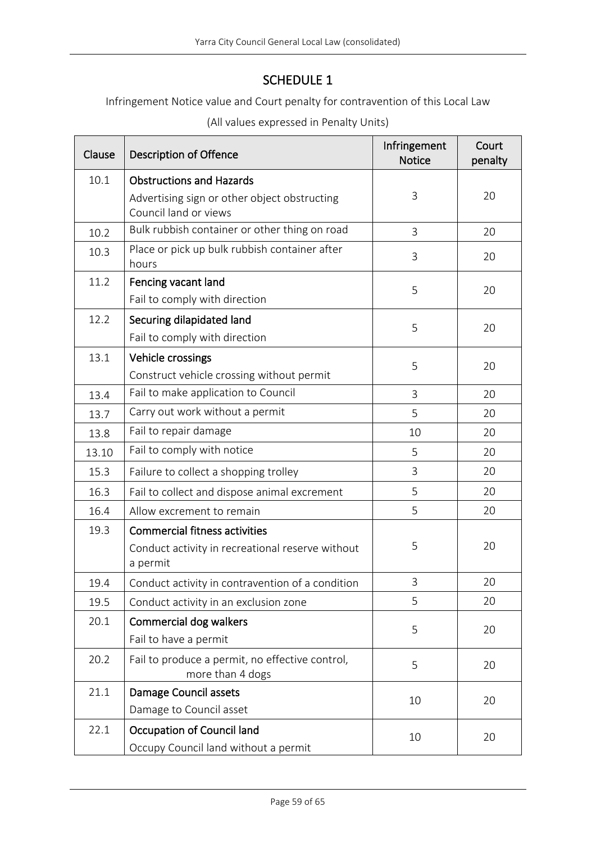# SCHEDULE 1

<span id="page-58-0"></span>Infringement Notice value and Court penalty for contravention of this Local Law

| (All values expressed in Penalty Units) |  |
|-----------------------------------------|--|
|-----------------------------------------|--|

| Clause | <b>Description of Offence</b>                                             | Infringement<br><b>Notice</b> | Court<br>penalty |
|--------|---------------------------------------------------------------------------|-------------------------------|------------------|
| 10.1   | <b>Obstructions and Hazards</b>                                           |                               |                  |
|        | Advertising sign or other object obstructing<br>Council land or views     | 3                             | 20               |
| 10.2   | Bulk rubbish container or other thing on road                             | 3                             | 20               |
| 10.3   | Place or pick up bulk rubbish container after<br>hours                    | 3                             | 20               |
| 11.2   | Fencing vacant land                                                       | 5                             | 20               |
|        | Fail to comply with direction                                             |                               |                  |
| 12.2   | Securing dilapidated land                                                 | 5                             | 20               |
|        | Fail to comply with direction                                             |                               |                  |
| 13.1   | Vehicle crossings                                                         | 5                             | 20               |
|        | Construct vehicle crossing without permit                                 |                               |                  |
| 13.4   | Fail to make application to Council                                       | 3                             | 20               |
| 13.7   | Carry out work without a permit                                           | 5                             | 20               |
| 13.8   | Fail to repair damage                                                     | 10                            | 20               |
| 13.10  | Fail to comply with notice                                                | 5                             | 20               |
| 15.3   | Failure to collect a shopping trolley                                     | 3                             | 20               |
| 16.3   | Fail to collect and dispose animal excrement                              | 5                             | 20               |
| 16.4   | Allow excrement to remain                                                 | 5                             | 20               |
| 19.3   | <b>Commercial fitness activities</b>                                      |                               |                  |
|        | Conduct activity in recreational reserve without<br>a permit              | 5                             | 20               |
| 19.4   | Conduct activity in contravention of a condition                          | 3                             | 20               |
| 19.5   | Conduct activity in an exclusion zone                                     | 5                             | 20               |
| 20.1   | <b>Commercial dog walkers</b>                                             | 5                             | 20               |
|        | Fail to have a permit                                                     |                               |                  |
| 20.2   | Fail to produce a permit, no effective control,<br>more than 4 dogs       | 5                             | 20               |
| 21.1   | <b>Damage Council assets</b>                                              | 10                            | 20               |
|        | Damage to Council asset                                                   |                               |                  |
| 22.1   | <b>Occupation of Council land</b><br>Occupy Council land without a permit | 10                            | 20               |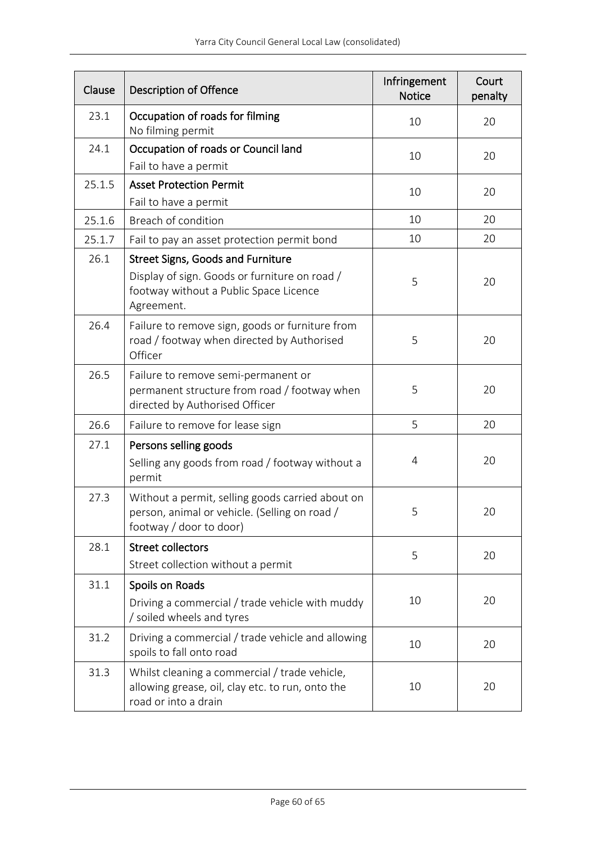| Clause | <b>Description of Offence</b>                                                                                                                     | Infringement<br><b>Notice</b> | Court<br>penalty |
|--------|---------------------------------------------------------------------------------------------------------------------------------------------------|-------------------------------|------------------|
| 23.1   | Occupation of roads for filming<br>No filming permit                                                                                              | 10                            | 20               |
| 24.1   | Occupation of roads or Council land<br>Fail to have a permit                                                                                      | 10                            | 20               |
| 25.1.5 | <b>Asset Protection Permit</b><br>Fail to have a permit                                                                                           | 10                            | 20               |
| 25.1.6 | Breach of condition                                                                                                                               | 10                            | 20               |
| 25.1.7 | Fail to pay an asset protection permit bond                                                                                                       | 10                            | 20               |
| 26.1   | <b>Street Signs, Goods and Furniture</b><br>Display of sign. Goods or furniture on road /<br>footway without a Public Space Licence<br>Agreement. | 5                             | 20               |
| 26.4   | Failure to remove sign, goods or furniture from<br>road / footway when directed by Authorised<br>Officer                                          | 5                             | 20               |
| 26.5   | Failure to remove semi-permanent or<br>permanent structure from road / footway when<br>directed by Authorised Officer                             | 5                             | 20               |
| 26.6   | Failure to remove for lease sign                                                                                                                  | 5                             | 20               |
| 27.1   | Persons selling goods<br>Selling any goods from road / footway without a<br>permit                                                                | 4                             | 20               |
| 27.3   | Without a permit, selling goods carried about on<br>person, animal or vehicle. (Selling on road /<br>footway / door to door)                      | 5                             | 20               |
| 28.1   | <b>Street collectors</b><br>Street collection without a permit                                                                                    | 5                             | 20               |
| 31.1   | Spoils on Roads<br>Driving a commercial / trade vehicle with muddy<br>/ soiled wheels and tyres                                                   | 10                            | 20               |
| 31.2   | Driving a commercial / trade vehicle and allowing<br>spoils to fall onto road                                                                     | 10                            | 20               |
| 31.3   | Whilst cleaning a commercial / trade vehicle,<br>allowing grease, oil, clay etc. to run, onto the<br>road or into a drain                         | 10                            | 20               |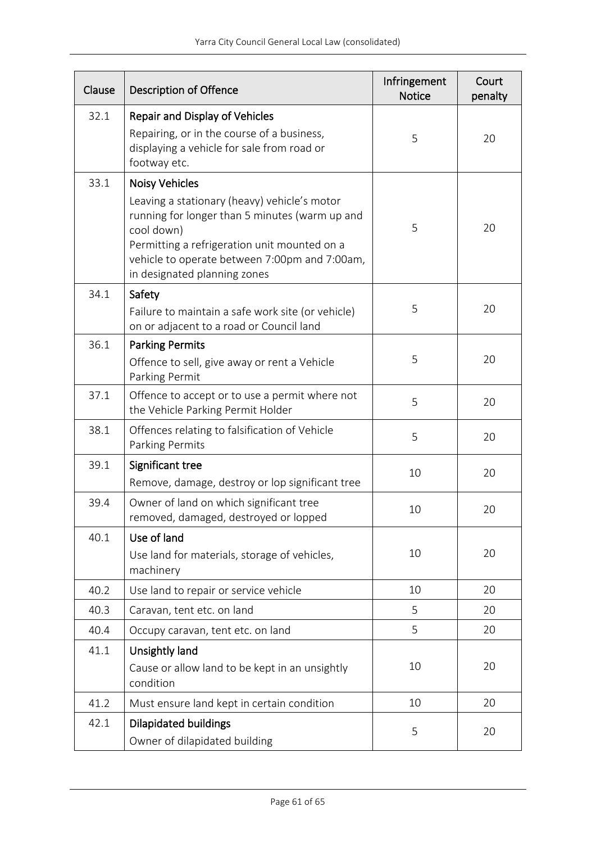| Clause | <b>Description of Offence</b>                                                                                                                                                                                                                                          | Infringement<br><b>Notice</b> | Court<br>penalty |
|--------|------------------------------------------------------------------------------------------------------------------------------------------------------------------------------------------------------------------------------------------------------------------------|-------------------------------|------------------|
| 32.1   | Repair and Display of Vehicles<br>Repairing, or in the course of a business,<br>displaying a vehicle for sale from road or<br>footway etc.                                                                                                                             | 5                             | 20               |
| 33.1   | <b>Noisy Vehicles</b><br>Leaving a stationary (heavy) vehicle's motor<br>running for longer than 5 minutes (warm up and<br>cool down)<br>Permitting a refrigeration unit mounted on a<br>vehicle to operate between 7:00pm and 7:00am,<br>in designated planning zones | 5                             | 20               |
| 34.1   | Safety<br>Failure to maintain a safe work site (or vehicle)<br>on or adjacent to a road or Council land                                                                                                                                                                | 5                             | 20               |
| 36.1   | <b>Parking Permits</b><br>Offence to sell, give away or rent a Vehicle<br>Parking Permit                                                                                                                                                                               | 5                             | 20               |
| 37.1   | Offence to accept or to use a permit where not<br>the Vehicle Parking Permit Holder                                                                                                                                                                                    | 5                             | 20               |
| 38.1   | Offences relating to falsification of Vehicle<br>Parking Permits                                                                                                                                                                                                       | 5                             | 20               |
| 39.1   | Significant tree<br>Remove, damage, destroy or lop significant tree                                                                                                                                                                                                    | 10                            | 20               |
| 39.4   | Owner of land on which significant tree<br>removed, damaged, destroyed or lopped                                                                                                                                                                                       | 10                            | 20               |
| 40.1   | Use of land<br>Use land for materials, storage of vehicles,<br>machinery                                                                                                                                                                                               | 10                            | 20               |
| 40.2   | Use land to repair or service vehicle                                                                                                                                                                                                                                  | 10                            | 20               |
| 40.3   | Caravan, tent etc. on land                                                                                                                                                                                                                                             | 5                             | 20               |
| 40.4   | Occupy caravan, tent etc. on land                                                                                                                                                                                                                                      | 5                             | 20               |
| 41.1   | Unsightly land<br>Cause or allow land to be kept in an unsightly<br>condition                                                                                                                                                                                          | 10                            | 20               |
| 41.2   | Must ensure land kept in certain condition                                                                                                                                                                                                                             | 10                            | 20               |
| 42.1   | Dilapidated buildings<br>Owner of dilapidated building                                                                                                                                                                                                                 | 5                             | 20               |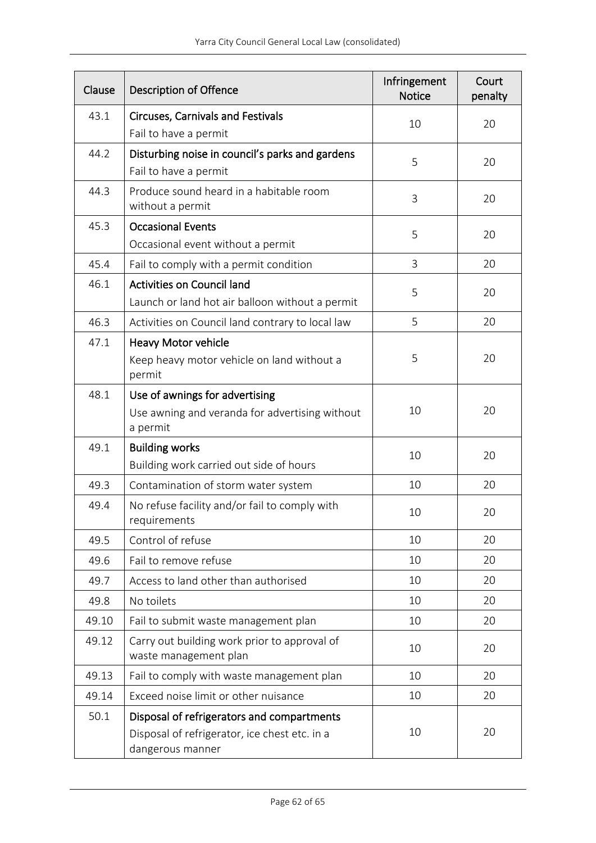| Clause | <b>Description of Offence</b>                                                                                   | Infringement<br><b>Notice</b> | Court<br>penalty |
|--------|-----------------------------------------------------------------------------------------------------------------|-------------------------------|------------------|
| 43.1   | <b>Circuses, Carnivals and Festivals</b><br>Fail to have a permit                                               | 10                            | 20               |
| 44.2   | Disturbing noise in council's parks and gardens<br>Fail to have a permit                                        | 5                             | 20               |
| 44.3   | Produce sound heard in a habitable room<br>without a permit                                                     | 3                             | 20               |
| 45.3   | <b>Occasional Events</b><br>Occasional event without a permit                                                   | 5                             | 20               |
| 45.4   | Fail to comply with a permit condition                                                                          | 3                             | 20               |
| 46.1   | <b>Activities on Council land</b><br>Launch or land hot air balloon without a permit                            | 5                             | 20               |
| 46.3   | Activities on Council land contrary to local law                                                                | 5                             | 20               |
| 47.1   | Heavy Motor vehicle<br>Keep heavy motor vehicle on land without a<br>permit                                     | 5                             | 20               |
| 48.1   | Use of awnings for advertising<br>Use awning and veranda for advertising without<br>a permit                    | 10                            | 20               |
| 49.1   | <b>Building works</b><br>Building work carried out side of hours                                                | 10                            | 20               |
| 49.3   | Contamination of storm water system                                                                             | 10                            | 20               |
| 49.4   | No refuse facility and/or fail to comply with<br>requirements                                                   | 10                            | 20               |
| 49.5   | Control of refuse                                                                                               | 10                            | 20               |
| 49.6   | Fail to remove refuse                                                                                           | 10                            | 20               |
| 49.7   | Access to land other than authorised                                                                            | 10                            | 20               |
| 49.8   | No toilets                                                                                                      | 10                            | 20               |
| 49.10  | Fail to submit waste management plan                                                                            | 10                            | 20               |
| 49.12  | Carry out building work prior to approval of<br>waste management plan                                           | 10                            | 20               |
| 49.13  | Fail to comply with waste management plan                                                                       | 10                            | 20               |
| 49.14  | Exceed noise limit or other nuisance                                                                            | 10                            | 20               |
| 50.1   | Disposal of refrigerators and compartments<br>Disposal of refrigerator, ice chest etc. in a<br>dangerous manner | 10                            | 20               |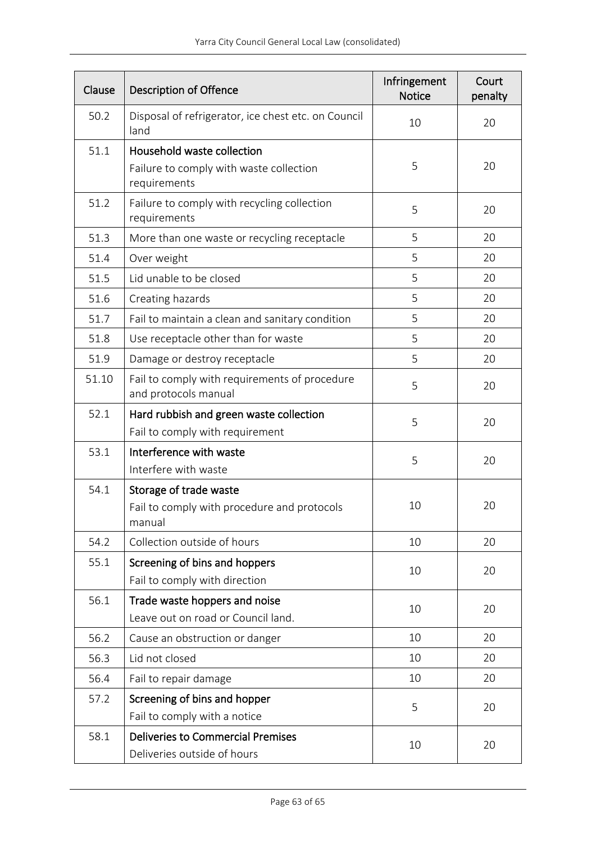| Clause | <b>Description of Offence</b>                                                         | Infringement<br><b>Notice</b> | Court<br>penalty |
|--------|---------------------------------------------------------------------------------------|-------------------------------|------------------|
| 50.2   | Disposal of refrigerator, ice chest etc. on Council<br>land                           | 10                            | 20               |
| 51.1   | Household waste collection<br>Failure to comply with waste collection<br>requirements | 5                             | 20               |
| 51.2   | Failure to comply with recycling collection<br>requirements                           | 5                             | 20               |
| 51.3   | More than one waste or recycling receptacle                                           | 5                             | 20               |
| 51.4   | Over weight                                                                           | 5                             | 20               |
| 51.5   | Lid unable to be closed                                                               | 5                             | 20               |
| 51.6   | Creating hazards                                                                      | 5                             | 20               |
| 51.7   | Fail to maintain a clean and sanitary condition                                       | 5                             | 20               |
| 51.8   | Use receptacle other than for waste                                                   | 5                             | 20               |
| 51.9   | Damage or destroy receptacle                                                          | 5                             | 20               |
| 51.10  | Fail to comply with requirements of procedure<br>and protocols manual                 | 5                             | 20               |
| 52.1   | Hard rubbish and green waste collection<br>Fail to comply with requirement            | 5                             | 20               |
| 53.1   | Interference with waste<br>Interfere with waste                                       | 5                             | 20               |
| 54.1   | Storage of trade waste<br>Fail to comply with procedure and protocols<br>manual       | 10                            | 20               |
| 54.2   | Collection outside of hours                                                           | 10                            | 20               |
| 55.1   | Screening of bins and hoppers<br>Fail to comply with direction                        | 10                            | 20               |
| 56.1   | Trade waste hoppers and noise<br>Leave out on road or Council land.                   | 10                            | 20               |
| 56.2   | Cause an obstruction or danger                                                        | 10                            | 20               |
| 56.3   | Lid not closed                                                                        | 10                            | 20               |
| 56.4   | Fail to repair damage                                                                 | 10                            | 20               |
| 57.2   | Screening of bins and hopper<br>Fail to comply with a notice                          | 5                             | 20               |
| 58.1   | <b>Deliveries to Commercial Premises</b><br>Deliveries outside of hours               | 10                            | 20               |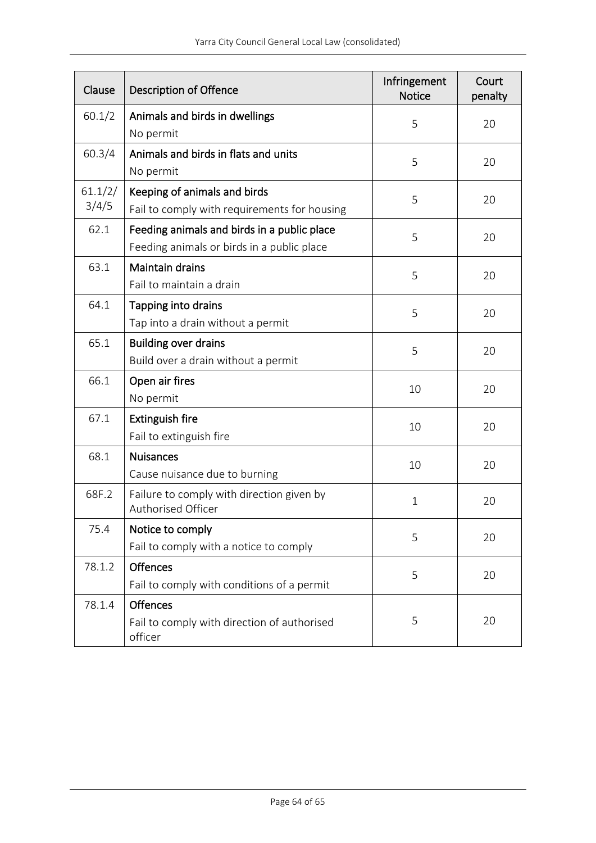| Clause           | <b>Description of Offence</b>                                                             | Infringement<br><b>Notice</b> | Court<br>penalty |
|------------------|-------------------------------------------------------------------------------------------|-------------------------------|------------------|
| 60.1/2           | Animals and birds in dwellings<br>No permit                                               | 5                             | 20               |
| 60.3/4           | Animals and birds in flats and units<br>No permit                                         | 5                             | 20               |
| 61.1/2/<br>3/4/5 | Keeping of animals and birds<br>Fail to comply with requirements for housing              | 5                             | 20               |
| 62.1             | Feeding animals and birds in a public place<br>Feeding animals or birds in a public place | 5                             | 20               |
| 63.1             | <b>Maintain drains</b><br>Fail to maintain a drain                                        | 5                             | 20               |
| 64.1             | Tapping into drains<br>Tap into a drain without a permit                                  | 5                             | 20               |
| 65.1             | <b>Building over drains</b><br>Build over a drain without a permit                        | 5                             | 20               |
| 66.1             | Open air fires<br>No permit                                                               | 10                            | 20               |
| 67.1             | <b>Extinguish fire</b><br>Fail to extinguish fire                                         | 10                            | 20               |
| 68.1             | <b>Nuisances</b><br>Cause nuisance due to burning                                         | 10                            | 20               |
| 68F.2            | Failure to comply with direction given by<br>Authorised Officer                           | $\mathbf{1}$                  | 20               |
| 75.4             | Notice to comply<br>Fail to comply with a notice to comply                                | 5                             | 20               |
| 78.1.2           | <b>Offences</b><br>Fail to comply with conditions of a permit                             | 5                             | 20               |
| 78.1.4           | <b>Offences</b><br>Fail to comply with direction of authorised<br>officer                 | 5                             | 20               |